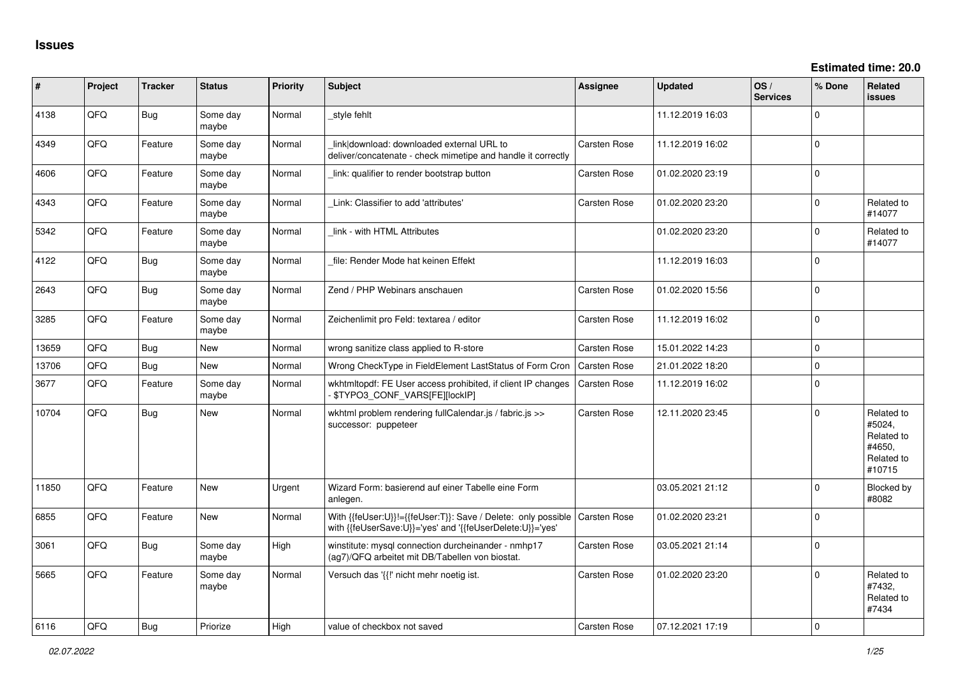| ∦     | Project | <b>Tracker</b> | <b>Status</b>     | Priority    | <b>Subject</b>                                                                                                             | Assignee            | <b>Updated</b>   | OS/<br><b>Services</b> | % Done      | Related<br><b>issues</b>                                             |
|-------|---------|----------------|-------------------|-------------|----------------------------------------------------------------------------------------------------------------------------|---------------------|------------------|------------------------|-------------|----------------------------------------------------------------------|
| 4138  | QFQ     | Bug            | Some day<br>maybe | Normal      | style fehlt                                                                                                                |                     | 11.12.2019 16:03 |                        | $\Omega$    |                                                                      |
| 4349  | QFQ     | Feature        | Some day<br>maybe | Normal      | link download: downloaded external URL to<br>deliver/concatenate - check mimetipe and handle it correctly                  | Carsten Rose        | 11.12.2019 16:02 |                        | $\Omega$    |                                                                      |
| 4606  | QFQ     | Feature        | Some day<br>maybe | Normal      | link: qualifier to render bootstrap button                                                                                 | Carsten Rose        | 01.02.2020 23:19 |                        | $\Omega$    |                                                                      |
| 4343  | QFQ     | Feature        | Some day<br>maybe | Normal      | Link: Classifier to add 'attributes'                                                                                       | Carsten Rose        | 01.02.2020 23:20 |                        | $\Omega$    | Related to<br>#14077                                                 |
| 5342  | QFQ     | Feature        | Some day<br>maybe | Normal      | link - with HTML Attributes                                                                                                |                     | 01.02.2020 23:20 |                        | $\Omega$    | Related to<br>#14077                                                 |
| 4122  | QFQ     | Bug            | Some day<br>maybe | Normal      | file: Render Mode hat keinen Effekt                                                                                        |                     | 11.12.2019 16:03 |                        | $\Omega$    |                                                                      |
| 2643  | QFQ     | Bug            | Some day<br>maybe | Normal      | Zend / PHP Webinars anschauen                                                                                              | Carsten Rose        | 01.02.2020 15:56 |                        | $\mathbf 0$ |                                                                      |
| 3285  | QFQ     | Feature        | Some day<br>maybe | Normal      | Zeichenlimit pro Feld: textarea / editor                                                                                   | Carsten Rose        | 11.12.2019 16:02 |                        | $\Omega$    |                                                                      |
| 13659 | QFQ     | Bug            | <b>New</b>        | Normal      | wrong sanitize class applied to R-store                                                                                    | Carsten Rose        | 15.01.2022 14:23 |                        | $\mathbf 0$ |                                                                      |
| 13706 | QFQ     | Bug            | <b>New</b>        | Normal      | Wrong CheckType in FieldElement LastStatus of Form Cron                                                                    | Carsten Rose        | 21.01.2022 18:20 |                        | $\Omega$    |                                                                      |
| 3677  | QFQ     | Feature        | Some day<br>maybe | Normal      | wkhtmltopdf: FE User access prohibited, if client IP changes<br>\$TYPO3_CONF_VARS[FE][lockIP]                              | Carsten Rose        | 11.12.2019 16:02 |                        | $\Omega$    |                                                                      |
| 10704 | QFQ     | Bug            | New               | Normal      | wkhtml problem rendering fullCalendar.js / fabric.js >><br>successor: puppeteer                                            | Carsten Rose        | 12.11.2020 23:45 |                        | $\Omega$    | Related to<br>#5024,<br>Related to<br>#4650,<br>Related to<br>#10715 |
| 11850 | QFQ     | Feature        | <b>New</b>        | Urgent      | Wizard Form: basierend auf einer Tabelle eine Form<br>anlegen.                                                             |                     | 03.05.2021 21:12 |                        | $\Omega$    | <b>Blocked by</b><br>#8082                                           |
| 6855  | QFQ     | Feature        | <b>New</b>        | Normal      | With {{feUser:U}}!={{feUser:T}}: Save / Delete: only possible<br>with {{feUserSave:U}}='yes' and '{{feUserDelete:U}}='yes' | <b>Carsten Rose</b> | 01.02.2020 23:21 |                        | $\Omega$    |                                                                      |
| 3061  | QFQ     | Bug            | Some day<br>maybe | High        | winstitute: mysql connection durcheinander - nmhp17<br>(ag7)/QFQ arbeitet mit DB/Tabellen von biostat.                     | Carsten Rose        | 03.05.2021 21:14 |                        | $\Omega$    |                                                                      |
| 5665  | QFQ     | Feature        | Some day<br>maybe | Normal      | Versuch das '{{!' nicht mehr noetig ist.                                                                                   | <b>Carsten Rose</b> | 01.02.2020 23:20 |                        | $\Omega$    | Related to<br>#7432.<br>Related to<br>#7434                          |
| 6116  | OFO     | Bug            | Priorize          | <b>High</b> | value of checkbox not saved                                                                                                | <b>Carsten Rose</b> | 07.12.2021 17:19 |                        | $\Omega$    |                                                                      |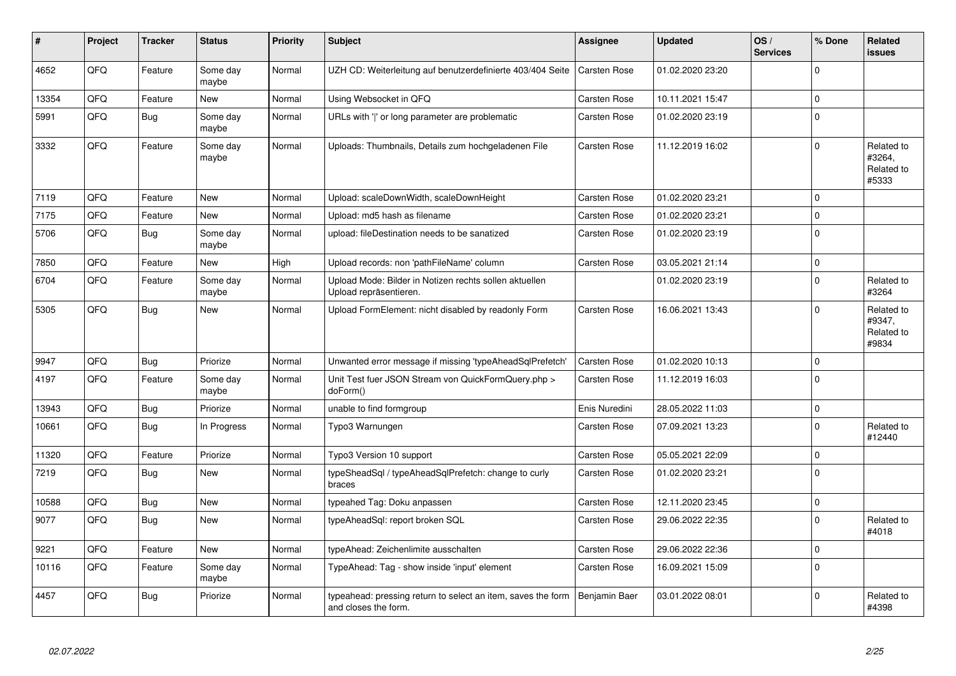| ∦     | Project | <b>Tracker</b> | <b>Status</b>     | <b>Priority</b> | <b>Subject</b>                                                                       | Assignee            | <b>Updated</b>   | OS/<br><b>Services</b> | % Done      | Related<br><b>issues</b>                    |
|-------|---------|----------------|-------------------|-----------------|--------------------------------------------------------------------------------------|---------------------|------------------|------------------------|-------------|---------------------------------------------|
| 4652  | QFQ     | Feature        | Some day<br>maybe | Normal          | UZH CD: Weiterleitung auf benutzerdefinierte 403/404 Seite                           | Carsten Rose        | 01.02.2020 23:20 |                        | $\Omega$    |                                             |
| 13354 | QFQ     | Feature        | <b>New</b>        | Normal          | Using Websocket in QFQ                                                               | Carsten Rose        | 10.11.2021 15:47 |                        | $\Omega$    |                                             |
| 5991  | QFQ     | <b>Bug</b>     | Some day<br>maybe | Normal          | URLs with ' ' or long parameter are problematic                                      | Carsten Rose        | 01.02.2020 23:19 |                        | $\mathbf 0$ |                                             |
| 3332  | QFQ     | Feature        | Some day<br>maybe | Normal          | Uploads: Thumbnails, Details zum hochgeladenen File                                  | Carsten Rose        | 11.12.2019 16:02 |                        | $\Omega$    | Related to<br>#3264,<br>Related to<br>#5333 |
| 7119  | QFQ     | Feature        | <b>New</b>        | Normal          | Upload: scaleDownWidth, scaleDownHeight                                              | Carsten Rose        | 01.02.2020 23:21 |                        | $\Omega$    |                                             |
| 7175  | QFQ     | Feature        | <b>New</b>        | Normal          | Upload: md5 hash as filename                                                         | <b>Carsten Rose</b> | 01.02.2020 23:21 |                        | $\mathbf 0$ |                                             |
| 5706  | QFQ     | <b>Bug</b>     | Some day<br>maybe | Normal          | upload: fileDestination needs to be sanatized                                        | Carsten Rose        | 01.02.2020 23:19 |                        | $\mathbf 0$ |                                             |
| 7850  | QFQ     | Feature        | <b>New</b>        | High            | Upload records: non 'pathFileName' column                                            | <b>Carsten Rose</b> | 03.05.2021 21:14 |                        | $\mathbf 0$ |                                             |
| 6704  | QFQ     | Feature        | Some day<br>maybe | Normal          | Upload Mode: Bilder in Notizen rechts sollen aktuellen<br>Upload repräsentieren.     |                     | 01.02.2020 23:19 |                        | $\Omega$    | Related to<br>#3264                         |
| 5305  | QFQ     | Bug            | <b>New</b>        | Normal          | Upload FormElement: nicht disabled by readonly Form                                  | Carsten Rose        | 16.06.2021 13:43 |                        | $\Omega$    | Related to<br>#9347,<br>Related to<br>#9834 |
| 9947  | QFQ     | Bug            | Priorize          | Normal          | Unwanted error message if missing 'typeAheadSqlPrefetch'                             | Carsten Rose        | 01.02.2020 10:13 |                        | $\Omega$    |                                             |
| 4197  | QFQ     | Feature        | Some day<br>maybe | Normal          | Unit Test fuer JSON Stream von QuickFormQuery.php ><br>doForm()                      | Carsten Rose        | 11.12.2019 16:03 |                        | $\mathbf 0$ |                                             |
| 13943 | QFQ     | <b>Bug</b>     | Priorize          | Normal          | unable to find formgroup                                                             | Enis Nuredini       | 28.05.2022 11:03 |                        | $\mathbf 0$ |                                             |
| 10661 | QFQ     | Bug            | In Progress       | Normal          | Typo3 Warnungen                                                                      | Carsten Rose        | 07.09.2021 13:23 |                        | $\mathbf 0$ | Related to<br>#12440                        |
| 11320 | QFQ     | Feature        | Priorize          | Normal          | Typo3 Version 10 support                                                             | Carsten Rose        | 05.05.2021 22:09 |                        | $\mathbf 0$ |                                             |
| 7219  | QFQ     | Bug            | <b>New</b>        | Normal          | typeSheadSql / typeAheadSqlPrefetch: change to curly<br>braces                       | Carsten Rose        | 01.02.2020 23:21 |                        | $\Omega$    |                                             |
| 10588 | QFQ     | Bug            | <b>New</b>        | Normal          | typeahed Tag: Doku anpassen                                                          | Carsten Rose        | 12.11.2020 23:45 |                        | $\mathbf 0$ |                                             |
| 9077  | QFQ     | <b>Bug</b>     | New               | Normal          | typeAheadSql: report broken SQL                                                      | Carsten Rose        | 29.06.2022 22:35 |                        | $\mathbf 0$ | Related to<br>#4018                         |
| 9221  | QFQ     | Feature        | <b>New</b>        | Normal          | typeAhead: Zeichenlimite ausschalten                                                 | Carsten Rose        | 29.06.2022 22:36 |                        | $\Omega$    |                                             |
| 10116 | QFQ     | Feature        | Some day<br>maybe | Normal          | TypeAhead: Tag - show inside 'input' element                                         | Carsten Rose        | 16.09.2021 15:09 |                        | $\mathbf 0$ |                                             |
| 4457  | QFQ     | Bug            | Priorize          | Normal          | typeahead: pressing return to select an item, saves the form<br>and closes the form. | Benjamin Baer       | 03.01.2022 08:01 |                        | $\Omega$    | Related to<br>#4398                         |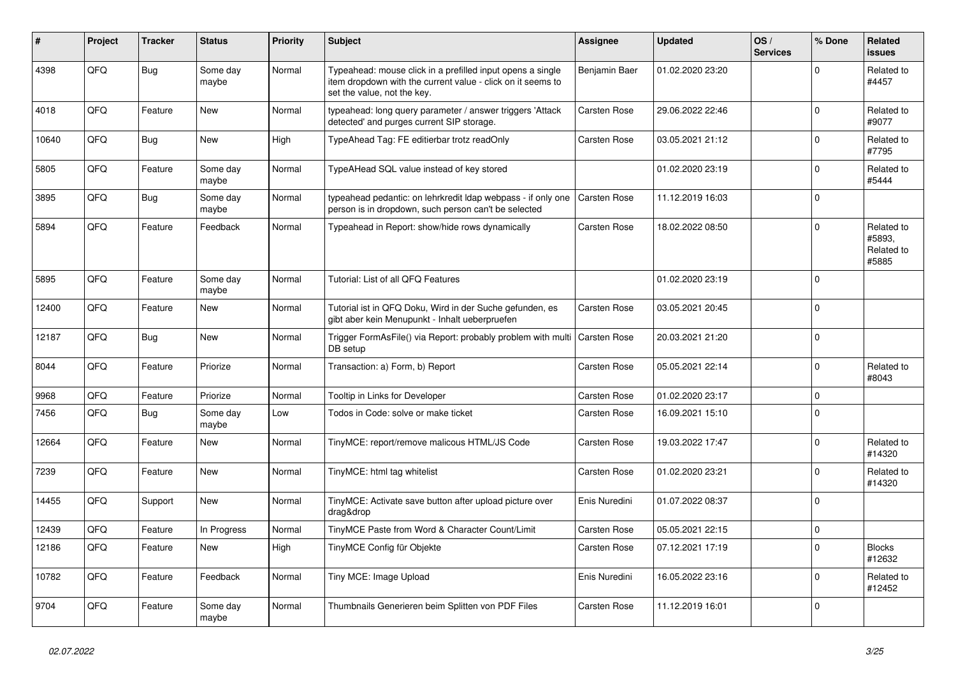| #     | Project | <b>Tracker</b> | <b>Status</b>     | <b>Priority</b> | <b>Subject</b>                                                                                                                                           | Assignee            | <b>Updated</b>   | OS/<br><b>Services</b> | % Done         | Related<br><b>issues</b>                    |
|-------|---------|----------------|-------------------|-----------------|----------------------------------------------------------------------------------------------------------------------------------------------------------|---------------------|------------------|------------------------|----------------|---------------------------------------------|
| 4398  | QFQ     | <b>Bug</b>     | Some day<br>maybe | Normal          | Typeahead: mouse click in a prefilled input opens a single<br>item dropdown with the current value - click on it seems to<br>set the value, not the key. | Benjamin Baer       | 01.02.2020 23:20 |                        | $\mathbf 0$    | Related to<br>#4457                         |
| 4018  | QFQ     | Feature        | <b>New</b>        | Normal          | typeahead: long query parameter / answer triggers 'Attack<br>detected' and purges current SIP storage.                                                   | Carsten Rose        | 29.06.2022 22:46 |                        | $\overline{0}$ | Related to<br>#9077                         |
| 10640 | QFQ     | Bug            | New               | High            | TypeAhead Tag: FE editierbar trotz readOnly                                                                                                              | Carsten Rose        | 03.05.2021 21:12 |                        | $\mathbf 0$    | Related to<br>#7795                         |
| 5805  | QFQ     | Feature        | Some day<br>maybe | Normal          | TypeAHead SQL value instead of key stored                                                                                                                |                     | 01.02.2020 23:19 |                        | 0              | Related to<br>#5444                         |
| 3895  | QFQ     | Bug            | Some day<br>maybe | Normal          | typeahead pedantic: on lehrkredit Idap webpass - if only one<br>person is in dropdown, such person can't be selected                                     | <b>Carsten Rose</b> | 11.12.2019 16:03 |                        | $\overline{0}$ |                                             |
| 5894  | QFQ     | Feature        | Feedback          | Normal          | Typeahead in Report: show/hide rows dynamically                                                                                                          | Carsten Rose        | 18.02.2022 08:50 |                        | $\mathbf 0$    | Related to<br>#5893,<br>Related to<br>#5885 |
| 5895  | QFQ     | Feature        | Some day<br>maybe | Normal          | Tutorial: List of all QFQ Features                                                                                                                       |                     | 01.02.2020 23:19 |                        | $\overline{0}$ |                                             |
| 12400 | QFQ     | Feature        | New               | Normal          | Tutorial ist in QFQ Doku, Wird in der Suche gefunden, es<br>gibt aber kein Menupunkt - Inhalt ueberpruefen                                               | Carsten Rose        | 03.05.2021 20:45 |                        | 0              |                                             |
| 12187 | QFQ     | <b>Bug</b>     | <b>New</b>        | Normal          | Trigger FormAsFile() via Report: probably problem with multi<br>DB setup                                                                                 | Carsten Rose        | 20.03.2021 21:20 |                        | $\overline{0}$ |                                             |
| 8044  | QFQ     | Feature        | Priorize          | Normal          | Transaction: a) Form, b) Report                                                                                                                          | Carsten Rose        | 05.05.2021 22:14 |                        | 0              | Related to<br>#8043                         |
| 9968  | OFO     | Feature        | Priorize          | Normal          | Tooltip in Links for Developer                                                                                                                           | Carsten Rose        | 01.02.2020 23:17 |                        | 0              |                                             |
| 7456  | QFQ     | <b>Bug</b>     | Some day<br>maybe | Low             | Todos in Code: solve or make ticket                                                                                                                      | Carsten Rose        | 16.09.2021 15:10 |                        | $\overline{0}$ |                                             |
| 12664 | QFQ     | Feature        | New               | Normal          | TinyMCE: report/remove malicous HTML/JS Code                                                                                                             | Carsten Rose        | 19.03.2022 17:47 |                        | 0              | Related to<br>#14320                        |
| 7239  | QFQ     | Feature        | New               | Normal          | TinyMCE: html tag whitelist                                                                                                                              | Carsten Rose        | 01.02.2020 23:21 |                        | $\mathbf 0$    | Related to<br>#14320                        |
| 14455 | QFQ     | Support        | New               | Normal          | TinyMCE: Activate save button after upload picture over<br>drag&drop                                                                                     | Enis Nuredini       | 01.07.2022 08:37 |                        | $\overline{0}$ |                                             |
| 12439 | QFQ     | Feature        | In Progress       | Normal          | TinyMCE Paste from Word & Character Count/Limit                                                                                                          | <b>Carsten Rose</b> | 05.05.2021 22:15 |                        | 0              |                                             |
| 12186 | QFQ     | Feature        | New               | High            | TinyMCE Config für Objekte                                                                                                                               | Carsten Rose        | 07.12.2021 17:19 |                        | $\overline{0}$ | <b>Blocks</b><br>#12632                     |
| 10782 | QFQ     | Feature        | Feedback          | Normal          | Tiny MCE: Image Upload                                                                                                                                   | Enis Nuredini       | 16.05.2022 23:16 |                        | 0              | Related to<br>#12452                        |
| 9704  | QFQ     | Feature        | Some day<br>maybe | Normal          | Thumbnails Generieren beim Splitten von PDF Files                                                                                                        | Carsten Rose        | 11.12.2019 16:01 |                        | 0              |                                             |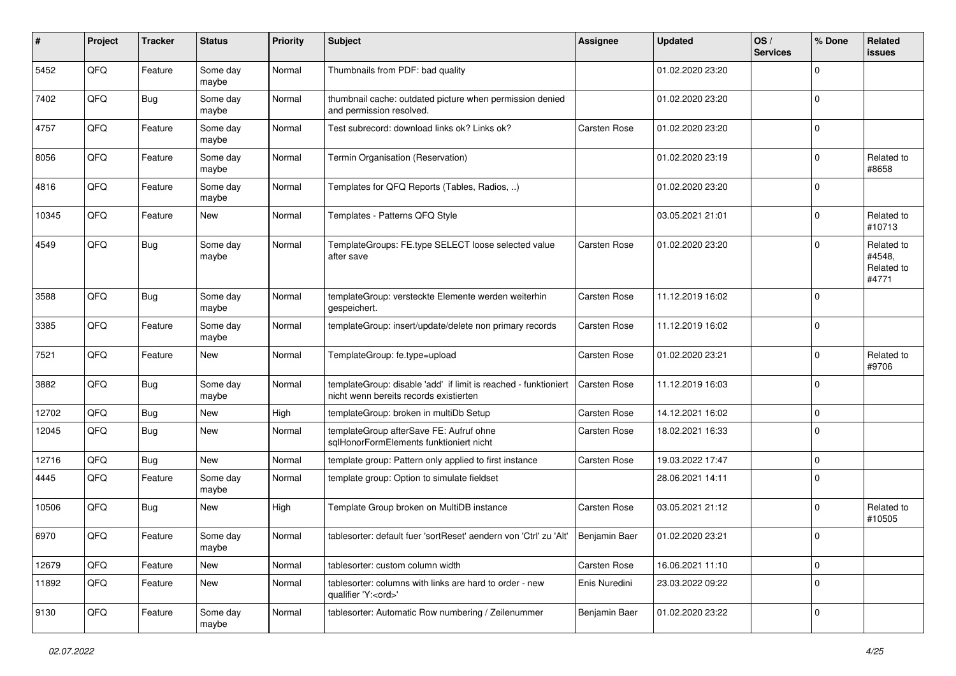| ∦     | Project | <b>Tracker</b> | <b>Status</b>     | <b>Priority</b> | <b>Subject</b>                                                                                            | <b>Assignee</b>     | <b>Updated</b>   | OS/<br><b>Services</b> | % Done         | Related<br><b>issues</b>                    |
|-------|---------|----------------|-------------------|-----------------|-----------------------------------------------------------------------------------------------------------|---------------------|------------------|------------------------|----------------|---------------------------------------------|
| 5452  | QFQ     | Feature        | Some day<br>maybe | Normal          | Thumbnails from PDF: bad quality                                                                          |                     | 01.02.2020 23:20 |                        | $\Omega$       |                                             |
| 7402  | QFQ     | Bug            | Some day<br>maybe | Normal          | thumbnail cache: outdated picture when permission denied<br>and permission resolved.                      |                     | 01.02.2020 23:20 |                        | $\mathbf 0$    |                                             |
| 4757  | QFQ     | Feature        | Some day<br>maybe | Normal          | Test subrecord: download links ok? Links ok?                                                              | Carsten Rose        | 01.02.2020 23:20 |                        | $\Omega$       |                                             |
| 8056  | QFQ     | Feature        | Some day<br>maybe | Normal          | Termin Organisation (Reservation)                                                                         |                     | 01.02.2020 23:19 |                        | $\Omega$       | Related to<br>#8658                         |
| 4816  | QFQ     | Feature        | Some day<br>maybe | Normal          | Templates for QFQ Reports (Tables, Radios, )                                                              |                     | 01.02.2020 23:20 |                        | $\mathbf 0$    |                                             |
| 10345 | QFQ     | Feature        | New               | Normal          | Templates - Patterns QFQ Style                                                                            |                     | 03.05.2021 21:01 |                        | $\Omega$       | Related to<br>#10713                        |
| 4549  | QFQ     | Bug            | Some day<br>maybe | Normal          | TemplateGroups: FE.type SELECT loose selected value<br>after save                                         | Carsten Rose        | 01.02.2020 23:20 |                        | $\Omega$       | Related to<br>#4548,<br>Related to<br>#4771 |
| 3588  | QFQ     | Bug            | Some day<br>maybe | Normal          | templateGroup: versteckte Elemente werden weiterhin<br>gespeichert.                                       | Carsten Rose        | 11.12.2019 16:02 |                        | $\Omega$       |                                             |
| 3385  | QFQ     | Feature        | Some day<br>maybe | Normal          | templateGroup: insert/update/delete non primary records                                                   | Carsten Rose        | 11.12.2019 16:02 |                        | $\Omega$       |                                             |
| 7521  | QFQ     | Feature        | New               | Normal          | TemplateGroup: fe.type=upload                                                                             | Carsten Rose        | 01.02.2020 23:21 |                        | $\Omega$       | Related to<br>#9706                         |
| 3882  | QFQ     | Bug            | Some day<br>maybe | Normal          | templateGroup: disable 'add' if limit is reached - funktioniert<br>nicht wenn bereits records existierten | <b>Carsten Rose</b> | 11.12.2019 16:03 |                        | 0              |                                             |
| 12702 | QFQ     | Bug            | <b>New</b>        | High            | templateGroup: broken in multiDb Setup                                                                    | Carsten Rose        | 14.12.2021 16:02 |                        | $\Omega$       |                                             |
| 12045 | QFQ     | <b>Bug</b>     | New               | Normal          | templateGroup afterSave FE: Aufruf ohne<br>sqlHonorFormElements funktioniert nicht                        | Carsten Rose        | 18.02.2021 16:33 |                        | $\Omega$       |                                             |
| 12716 | QFQ     | <b>Bug</b>     | New               | Normal          | template group: Pattern only applied to first instance                                                    | Carsten Rose        | 19.03.2022 17:47 |                        | $\mathbf 0$    |                                             |
| 4445  | QFQ     | Feature        | Some day<br>maybe | Normal          | template group: Option to simulate fieldset                                                               |                     | 28.06.2021 14:11 |                        | $\mathbf 0$    |                                             |
| 10506 | QFQ     | Bug            | New               | High            | Template Group broken on MultiDB instance                                                                 | Carsten Rose        | 03.05.2021 21:12 |                        | $\mathbf 0$    | Related to<br>#10505                        |
| 6970  | QFQ     | Feature        | Some day<br>maybe | Normal          | tablesorter: default fuer 'sortReset' aendern von 'Ctrl' zu 'Alt'   Benjamin Baer                         |                     | 01.02.2020 23:21 |                        | $\overline{0}$ |                                             |
| 12679 | QFQ     | Feature        | New               | Normal          | tablesorter: custom column width                                                                          | Carsten Rose        | 16.06.2021 11:10 |                        | 0              |                                             |
| 11892 | QFQ     | Feature        | New               | Normal          | tablesorter: columns with links are hard to order - new<br>qualifier 'Y: <ord>'</ord>                     | Enis Nuredini       | 23.03.2022 09:22 |                        | $\mathbf 0$    |                                             |
| 9130  | QFQ     | Feature        | Some day<br>maybe | Normal          | tablesorter: Automatic Row numbering / Zeilenummer                                                        | Benjamin Baer       | 01.02.2020 23:22 |                        | 0              |                                             |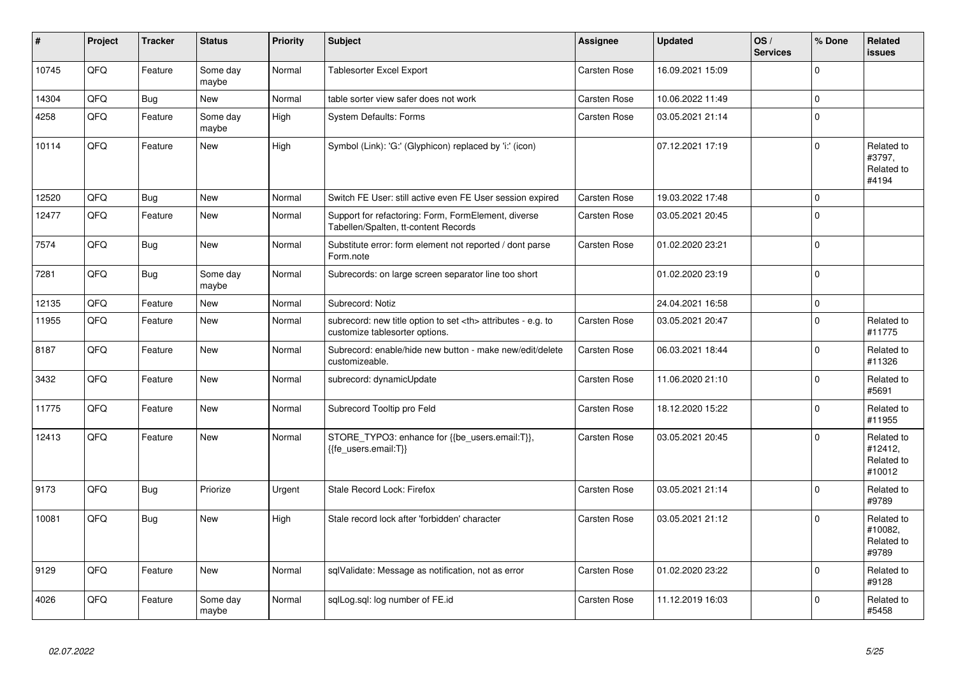| #     | Project | <b>Tracker</b> | <b>Status</b>     | <b>Priority</b> | <b>Subject</b>                                                                                       | Assignee                                               | <b>Updated</b>   | OS/<br><b>Services</b> | % Done      | Related<br><b>issues</b>                      |                      |
|-------|---------|----------------|-------------------|-----------------|------------------------------------------------------------------------------------------------------|--------------------------------------------------------|------------------|------------------------|-------------|-----------------------------------------------|----------------------|
| 10745 | QFQ     | Feature        | Some day<br>maybe | Normal          | <b>Tablesorter Excel Export</b>                                                                      | Carsten Rose                                           | 16.09.2021 15:09 |                        | $\mathbf 0$ |                                               |                      |
| 14304 | QFQ     | <b>Bug</b>     | <b>New</b>        | Normal          | table sorter view safer does not work                                                                | Carsten Rose                                           | 10.06.2022 11:49 |                        | $\mathbf 0$ |                                               |                      |
| 4258  | QFQ     | Feature        | Some day<br>maybe | High            | <b>System Defaults: Forms</b>                                                                        | Carsten Rose                                           | 03.05.2021 21:14 |                        | $\mathbf 0$ |                                               |                      |
| 10114 | QFQ     | Feature        | <b>New</b>        | High            | Symbol (Link): 'G:' (Glyphicon) replaced by 'i:' (icon)                                              |                                                        | 07.12.2021 17:19 |                        | $\mathbf 0$ | Related to<br>#3797,<br>Related to<br>#4194   |                      |
| 12520 | QFQ     | Bug            | <b>New</b>        | Normal          | Switch FE User: still active even FE User session expired                                            | Carsten Rose                                           | 19.03.2022 17:48 |                        | $\Omega$    |                                               |                      |
| 12477 | QFQ     | Feature        | <b>New</b>        | Normal          | Support for refactoring: Form, FormElement, diverse<br>Tabellen/Spalten, tt-content Records          | Carsten Rose                                           | 03.05.2021 20:45 |                        | $\mathbf 0$ |                                               |                      |
| 7574  | QFQ     | Bug            | <b>New</b>        | Normal          | Substitute error: form element not reported / dont parse<br>Form.note                                | Carsten Rose                                           | 01.02.2020 23:21 |                        | $\mathbf 0$ |                                               |                      |
| 7281  | QFQ     | <b>Bug</b>     | Some day<br>maybe | Normal          | Subrecords: on large screen separator line too short                                                 |                                                        | 01.02.2020 23:19 |                        | $\mathbf 0$ |                                               |                      |
| 12135 | QFQ     | Feature        | <b>New</b>        | Normal          | Subrecord: Notiz                                                                                     |                                                        | 24.04.2021 16:58 |                        | $\mathbf 0$ |                                               |                      |
| 11955 | QFQ     | Feature        | <b>New</b>        | Normal          | subrecord: new title option to set <th> attributes - e.g. to<br/>customize tablesorter options.</th> | attributes - e.g. to<br>customize tablesorter options. | Carsten Rose     | 03.05.2021 20:47       |             | $\mathbf 0$                                   | Related to<br>#11775 |
| 8187  | QFQ     | Feature        | <b>New</b>        | Normal          | Subrecord: enable/hide new button - make new/edit/delete<br>customizeable.                           | Carsten Rose                                           | 06.03.2021 18:44 |                        | $\mathbf 0$ | Related to<br>#11326                          |                      |
| 3432  | QFQ     | Feature        | New               | Normal          | subrecord: dynamicUpdate                                                                             | Carsten Rose                                           | 11.06.2020 21:10 |                        | $\Omega$    | Related to<br>#5691                           |                      |
| 11775 | QFQ     | Feature        | <b>New</b>        | Normal          | Subrecord Tooltip pro Feld                                                                           | Carsten Rose                                           | 18.12.2020 15:22 |                        | $\Omega$    | Related to<br>#11955                          |                      |
| 12413 | QFQ     | Feature        | <b>New</b>        | Normal          | STORE_TYPO3: enhance for {{be_users.email:T}},<br>{{fe users.email:T}}                               | Carsten Rose                                           | 03.05.2021 20:45 |                        | $\Omega$    | Related to<br>#12412,<br>Related to<br>#10012 |                      |
| 9173  | QFQ     | <b>Bug</b>     | Priorize          | Urgent          | Stale Record Lock: Firefox                                                                           | Carsten Rose                                           | 03.05.2021 21:14 |                        | $\Omega$    | Related to<br>#9789                           |                      |
| 10081 | QFQ     | <b>Bug</b>     | <b>New</b>        | High            | Stale record lock after 'forbidden' character                                                        | Carsten Rose                                           | 03.05.2021 21:12 |                        | $\mathbf 0$ | Related to<br>#10082,<br>Related to<br>#9789  |                      |
| 9129  | QFQ     | Feature        | <b>New</b>        | Normal          | sqlValidate: Message as notification, not as error                                                   | Carsten Rose                                           | 01.02.2020 23:22 |                        | $\mathbf 0$ | Related to<br>#9128                           |                      |
| 4026  | QFQ     | Feature        | Some day<br>maybe | Normal          | sqlLog.sql: log number of FE.id                                                                      | Carsten Rose                                           | 11.12.2019 16:03 |                        | $\Omega$    | Related to<br>#5458                           |                      |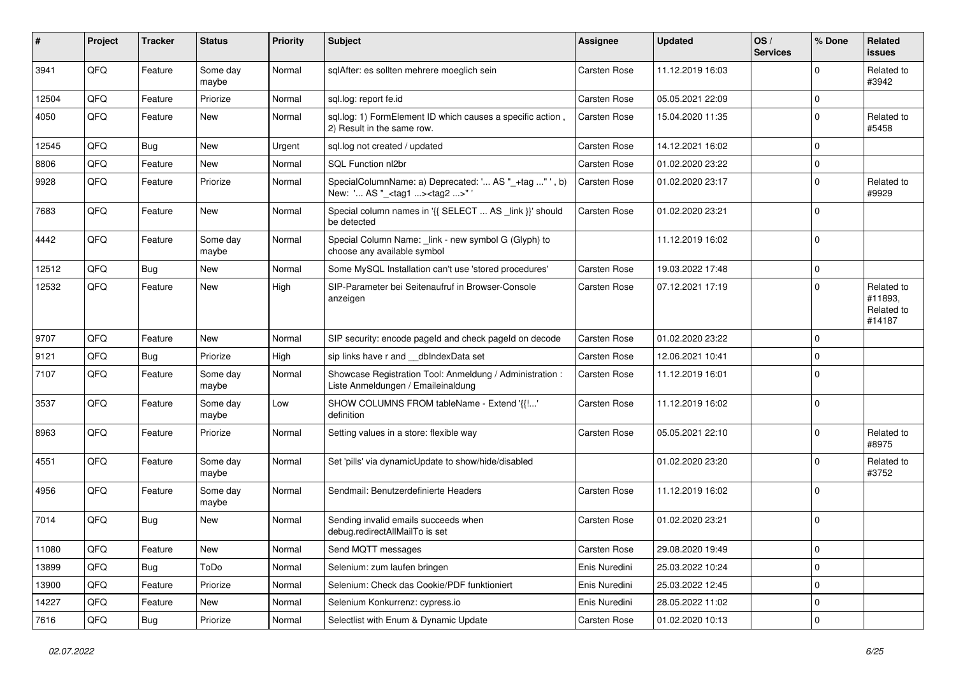| #     | Project | <b>Tracker</b> | <b>Status</b>     | <b>Priority</b> | Subject                                                                                            | <b>Assignee</b>     | <b>Updated</b>   | OS/<br><b>Services</b> | % Done      | Related<br>issues                             |
|-------|---------|----------------|-------------------|-----------------|----------------------------------------------------------------------------------------------------|---------------------|------------------|------------------------|-------------|-----------------------------------------------|
| 3941  | QFQ     | Feature        | Some day<br>maybe | Normal          | sqlAfter: es sollten mehrere moeglich sein                                                         | <b>Carsten Rose</b> | 11.12.2019 16:03 |                        | $\Omega$    | Related to<br>#3942                           |
| 12504 | QFQ     | Feature        | Priorize          | Normal          | sql.log: report fe.id                                                                              | Carsten Rose        | 05.05.2021 22:09 |                        | $\mathbf 0$ |                                               |
| 4050  | QFQ     | Feature        | New               | Normal          | sql.log: 1) FormElement ID which causes a specific action,<br>2) Result in the same row.           | <b>Carsten Rose</b> | 15.04.2020 11:35 |                        | $\Omega$    | Related to<br>#5458                           |
| 12545 | QFQ     | Bug            | <b>New</b>        | Urgent          | sql.log not created / updated                                                                      | Carsten Rose        | 14.12.2021 16:02 |                        | $\mathbf 0$ |                                               |
| 8806  | QFQ     | Feature        | New               | Normal          | SQL Function nl2br                                                                                 | Carsten Rose        | 01.02.2020 23:22 |                        | 0           |                                               |
| 9928  | QFQ     | Feature        | Priorize          | Normal          | SpecialColumnName: a) Deprecated: ' AS "_+tag " ', b)<br>New: ' AS "_ <tag1><tag2>"'</tag2></tag1> | Carsten Rose        | 01.02.2020 23:17 |                        | $\Omega$    | Related to<br>#9929                           |
| 7683  | QFQ     | Feature        | New               | Normal          | Special column names in '{{ SELECT  AS _link }}' should<br>be detected                             | Carsten Rose        | 01.02.2020 23:21 |                        | $\Omega$    |                                               |
| 4442  | QFQ     | Feature        | Some day<br>maybe | Normal          | Special Column Name: _link - new symbol G (Glyph) to<br>choose any available symbol                |                     | 11.12.2019 16:02 |                        | $\mathbf 0$ |                                               |
| 12512 | QFQ     | Bug            | <b>New</b>        | Normal          | Some MySQL Installation can't use 'stored procedures'                                              | <b>Carsten Rose</b> | 19.03.2022 17:48 |                        | $\mathbf 0$ |                                               |
| 12532 | QFQ     | Feature        | New               | High            | SIP-Parameter bei Seitenaufruf in Browser-Console<br>anzeigen                                      | Carsten Rose        | 07.12.2021 17:19 |                        | $\Omega$    | Related to<br>#11893.<br>Related to<br>#14187 |
| 9707  | QFQ     | Feature        | New               | Normal          | SIP security: encode pageld and check pageld on decode                                             | Carsten Rose        | 01.02.2020 23:22 |                        | $\Omega$    |                                               |
| 9121  | QFQ     | Bug            | Priorize          | High            | sip links have r and __dbIndexData set                                                             | Carsten Rose        | 12.06.2021 10:41 |                        | $\Omega$    |                                               |
| 7107  | QFQ     | Feature        | Some day<br>maybe | Normal          | Showcase Registration Tool: Anmeldung / Administration :<br>Liste Anmeldungen / Emaileinaldung     | Carsten Rose        | 11.12.2019 16:01 |                        | $\mathbf 0$ |                                               |
| 3537  | QFQ     | Feature        | Some day<br>maybe | Low             | SHOW COLUMNS FROM tableName - Extend '{{!'<br>definition                                           | Carsten Rose        | 11.12.2019 16:02 |                        | $\mathbf 0$ |                                               |
| 8963  | QFQ     | Feature        | Priorize          | Normal          | Setting values in a store: flexible way                                                            | <b>Carsten Rose</b> | 05.05.2021 22:10 |                        | $\mathbf 0$ | Related to<br>#8975                           |
| 4551  | QFQ     | Feature        | Some day<br>maybe | Normal          | Set 'pills' via dynamicUpdate to show/hide/disabled                                                |                     | 01.02.2020 23:20 |                        | $\Omega$    | Related to<br>#3752                           |
| 4956  | QFQ     | Feature        | Some day<br>maybe | Normal          | Sendmail: Benutzerdefinierte Headers                                                               | Carsten Rose        | 11.12.2019 16:02 |                        | $\mathbf 0$ |                                               |
| 7014  | QFQ     | Bug            | <b>New</b>        | Normal          | Sending invalid emails succeeds when<br>debug.redirectAllMailTo is set                             | Carsten Rose        | 01.02.2020 23:21 |                        | 0           |                                               |
| 11080 | QFQ     | Feature        | New               | Normal          | Send MQTT messages                                                                                 | Carsten Rose        | 29.08.2020 19:49 |                        | 0           |                                               |
| 13899 | QFQ     | Bug            | ToDo              | Normal          | Selenium: zum laufen bringen                                                                       | Enis Nuredini       | 25.03.2022 10:24 |                        | 0           |                                               |
| 13900 | QFQ     | Feature        | Priorize          | Normal          | Selenium: Check das Cookie/PDF funktioniert                                                        | Enis Nuredini       | 25.03.2022 12:45 |                        | 0           |                                               |
| 14227 | QFQ     | Feature        | New               | Normal          | Selenium Konkurrenz: cypress.io                                                                    | Enis Nuredini       | 28.05.2022 11:02 |                        | $\mathbf 0$ |                                               |
| 7616  | QFG     | Bug            | Priorize          | Normal          | Selectlist with Enum & Dynamic Update                                                              | Carsten Rose        | 01.02.2020 10:13 |                        | $\mathbf 0$ |                                               |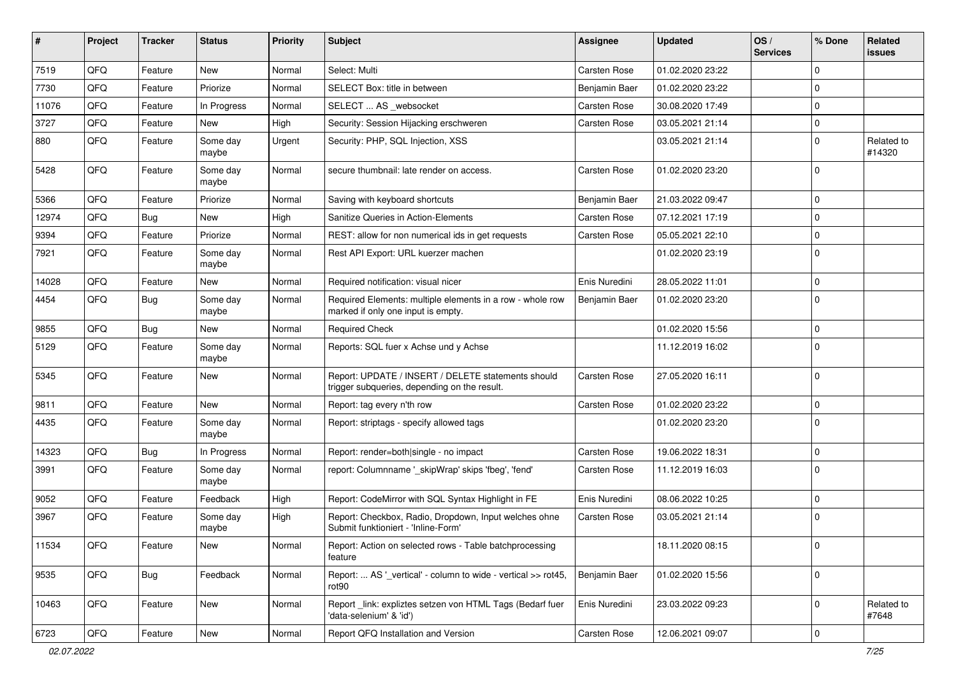| #     | Project | <b>Tracker</b> | <b>Status</b>     | <b>Priority</b> | <b>Subject</b>                                                                                     | <b>Assignee</b> | <b>Updated</b>   | OS/<br><b>Services</b> | % Done      | Related<br>issues    |
|-------|---------|----------------|-------------------|-----------------|----------------------------------------------------------------------------------------------------|-----------------|------------------|------------------------|-------------|----------------------|
| 7519  | QFQ     | Feature        | New               | Normal          | Select: Multi                                                                                      | Carsten Rose    | 01.02.2020 23:22 |                        | $\Omega$    |                      |
| 7730  | QFQ     | Feature        | Priorize          | Normal          | SELECT Box: title in between                                                                       | Benjamin Baer   | 01.02.2020 23:22 |                        | $\Omega$    |                      |
| 11076 | QFQ     | Feature        | In Progress       | Normal          | SELECT  AS _websocket                                                                              | Carsten Rose    | 30.08.2020 17:49 |                        | $\Omega$    |                      |
| 3727  | QFQ     | Feature        | <b>New</b>        | High            | Security: Session Hijacking erschweren                                                             | Carsten Rose    | 03.05.2021 21:14 |                        | 0           |                      |
| 880   | QFQ     | Feature        | Some day<br>maybe | Urgent          | Security: PHP, SQL Injection, XSS                                                                  |                 | 03.05.2021 21:14 |                        | 0           | Related to<br>#14320 |
| 5428  | QFQ     | Feature        | Some day<br>maybe | Normal          | secure thumbnail: late render on access.                                                           | Carsten Rose    | 01.02.2020 23:20 |                        | $\Omega$    |                      |
| 5366  | QFQ     | Feature        | Priorize          | Normal          | Saving with keyboard shortcuts                                                                     | Benjamin Baer   | 21.03.2022 09:47 |                        | $\Omega$    |                      |
| 12974 | QFQ     | <b>Bug</b>     | New               | High            | Sanitize Queries in Action-Elements                                                                | Carsten Rose    | 07.12.2021 17:19 |                        | $\Omega$    |                      |
| 9394  | QFQ     | Feature        | Priorize          | Normal          | REST: allow for non numerical ids in get requests                                                  | Carsten Rose    | 05.05.2021 22:10 |                        | $\mathbf 0$ |                      |
| 7921  | QFQ     | Feature        | Some day<br>maybe | Normal          | Rest API Export: URL kuerzer machen                                                                |                 | 01.02.2020 23:19 |                        | $\Omega$    |                      |
| 14028 | QFQ     | Feature        | New               | Normal          | Required notification: visual nicer                                                                | Enis Nuredini   | 28.05.2022 11:01 |                        | $\mathbf 0$ |                      |
| 4454  | QFQ     | Bug            | Some day<br>maybe | Normal          | Required Elements: multiple elements in a row - whole row<br>marked if only one input is empty.    | Benjamin Baer   | 01.02.2020 23:20 |                        | $\mathbf 0$ |                      |
| 9855  | QFQ     | Bug            | <b>New</b>        | Normal          | <b>Required Check</b>                                                                              |                 | 01.02.2020 15:56 |                        | 0           |                      |
| 5129  | QFQ     | Feature        | Some day<br>maybe | Normal          | Reports: SQL fuer x Achse und y Achse                                                              |                 | 11.12.2019 16:02 |                        | $\Omega$    |                      |
| 5345  | QFQ     | Feature        | <b>New</b>        | Normal          | Report: UPDATE / INSERT / DELETE statements should<br>trigger subqueries, depending on the result. | Carsten Rose    | 27.05.2020 16:11 |                        | $\Omega$    |                      |
| 9811  | QFQ     | Feature        | <b>New</b>        | Normal          | Report: tag every n'th row                                                                         | Carsten Rose    | 01.02.2020 23:22 |                        | $\mathbf 0$ |                      |
| 4435  | QFQ     | Feature        | Some day<br>maybe | Normal          | Report: striptags - specify allowed tags                                                           |                 | 01.02.2020 23:20 |                        | $\Omega$    |                      |
| 14323 | QFQ     | Bug            | In Progress       | Normal          | Report: render=both single - no impact                                                             | Carsten Rose    | 19.06.2022 18:31 |                        | 0           |                      |
| 3991  | QFQ     | Feature        | Some day<br>maybe | Normal          | report: Columnname '_skipWrap' skips 'fbeg', 'fend'                                                | Carsten Rose    | 11.12.2019 16:03 |                        | $\Omega$    |                      |
| 9052  | QFQ     | Feature        | Feedback          | High            | Report: CodeMirror with SQL Syntax Highlight in FE                                                 | Enis Nuredini   | 08.06.2022 10:25 |                        | $\mathbf 0$ |                      |
| 3967  | QFQ     | Feature        | Some day<br>maybe | High            | Report: Checkbox, Radio, Dropdown, Input welches ohne<br>Submit funktioniert - 'Inline-Form'       | Carsten Rose    | 03.05.2021 21:14 |                        | $\Omega$    |                      |
| 11534 | QFQ     | Feature        | New               | Normal          | Report: Action on selected rows - Table batchprocessing<br>feature                                 |                 | 18.11.2020 08:15 |                        | 0           |                      |
| 9535  | QFQ     | <b>Bug</b>     | Feedback          | Normal          | Report:  AS '_vertical' - column to wide - vertical >> rot45,<br>rot90                             | Benjamin Baer   | 01.02.2020 15:56 |                        | $\mathbf 0$ |                      |
| 10463 | QFQ     | Feature        | New               | Normal          | Report_link: expliztes setzen von HTML Tags (Bedarf fuer<br>'data-selenium' & 'id')                | Enis Nuredini   | 23.03.2022 09:23 |                        | $\Omega$    | Related to<br>#7648  |
| 6723  | QFQ     | Feature        | New               | Normal          | Report QFQ Installation and Version                                                                | Carsten Rose    | 12.06.2021 09:07 |                        | 0           |                      |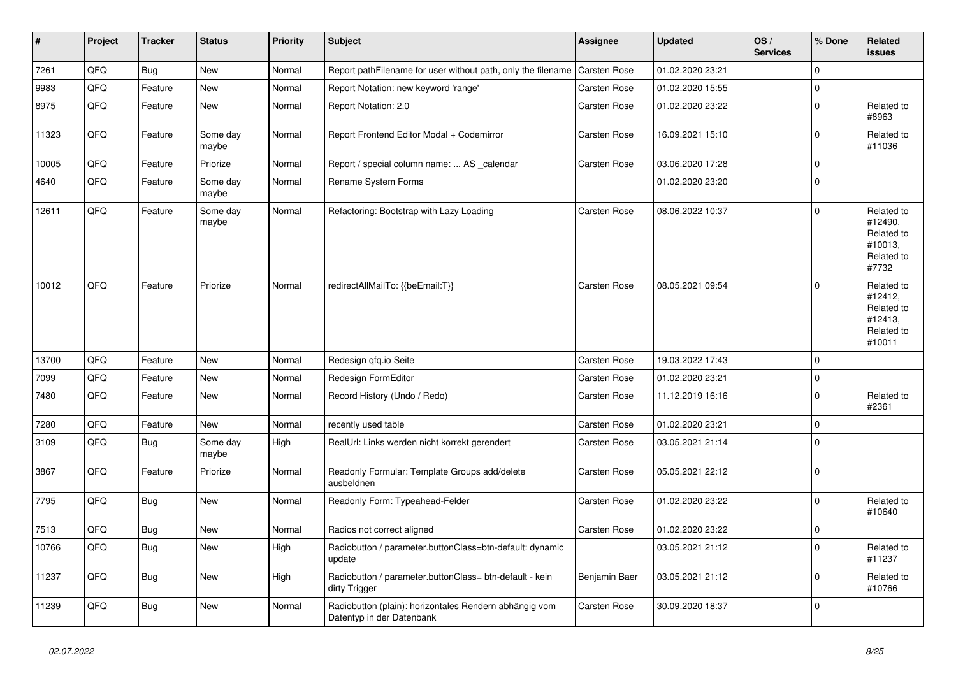| #     | Project | <b>Tracker</b> | <b>Status</b>     | <b>Priority</b> | <b>Subject</b>                                                                      | <b>Assignee</b>     | <b>Updated</b>   | OS/<br><b>Services</b> | % Done      | Related<br><b>issues</b>                                               |
|-------|---------|----------------|-------------------|-----------------|-------------------------------------------------------------------------------------|---------------------|------------------|------------------------|-------------|------------------------------------------------------------------------|
| 7261  | QFQ     | Bug            | <b>New</b>        | Normal          | Report pathFilename for user without path, only the filename                        | <b>Carsten Rose</b> | 01.02.2020 23:21 |                        | $\Omega$    |                                                                        |
| 9983  | QFQ     | Feature        | <b>New</b>        | Normal          | Report Notation: new keyword 'range'                                                | Carsten Rose        | 01.02.2020 15:55 |                        | $\mathbf 0$ |                                                                        |
| 8975  | QFQ     | Feature        | New               | Normal          | Report Notation: 2.0                                                                | Carsten Rose        | 01.02.2020 23:22 |                        | $\mathbf 0$ | Related to<br>#8963                                                    |
| 11323 | QFQ     | Feature        | Some day<br>maybe | Normal          | Report Frontend Editor Modal + Codemirror                                           | Carsten Rose        | 16.09.2021 15:10 |                        | $\Omega$    | Related to<br>#11036                                                   |
| 10005 | QFQ     | Feature        | Priorize          | Normal          | Report / special column name:  AS _calendar                                         | Carsten Rose        | 03.06.2020 17:28 |                        | $\mathbf 0$ |                                                                        |
| 4640  | QFQ     | Feature        | Some day<br>maybe | Normal          | Rename System Forms                                                                 |                     | 01.02.2020 23:20 |                        | $\Omega$    |                                                                        |
| 12611 | QFQ     | Feature        | Some day<br>maybe | Normal          | Refactoring: Bootstrap with Lazy Loading                                            | Carsten Rose        | 08.06.2022 10:37 |                        | $\Omega$    | Related to<br>#12490,<br>Related to<br>#10013,<br>Related to<br>#7732  |
| 10012 | QFQ     | Feature        | Priorize          | Normal          | redirectAllMailTo: {{beEmail:T}}                                                    | Carsten Rose        | 08.05.2021 09:54 |                        | $\Omega$    | Related to<br>#12412,<br>Related to<br>#12413,<br>Related to<br>#10011 |
| 13700 | QFQ     | Feature        | <b>New</b>        | Normal          | Redesign qfq.io Seite                                                               | Carsten Rose        | 19.03.2022 17:43 |                        | $\mathbf 0$ |                                                                        |
| 7099  | QFQ     | Feature        | <b>New</b>        | Normal          | Redesign FormEditor                                                                 | <b>Carsten Rose</b> | 01.02.2020 23:21 |                        | $\mathbf 0$ |                                                                        |
| 7480  | QFQ     | Feature        | <b>New</b>        | Normal          | Record History (Undo / Redo)                                                        | Carsten Rose        | 11.12.2019 16:16 |                        | $\mathbf 0$ | Related to<br>#2361                                                    |
| 7280  | QFQ     | Feature        | New               | Normal          | recently used table                                                                 | <b>Carsten Rose</b> | 01.02.2020 23:21 |                        | $\Omega$    |                                                                        |
| 3109  | QFQ     | <b>Bug</b>     | Some day<br>maybe | High            | RealUrl: Links werden nicht korrekt gerendert                                       | Carsten Rose        | 03.05.2021 21:14 |                        | $\Omega$    |                                                                        |
| 3867  | QFQ     | Feature        | Priorize          | Normal          | Readonly Formular: Template Groups add/delete<br>ausbeldnen                         | Carsten Rose        | 05.05.2021 22:12 |                        | $\mathbf 0$ |                                                                        |
| 7795  | QFQ     | Bug            | <b>New</b>        | Normal          | Readonly Form: Typeahead-Felder                                                     | Carsten Rose        | 01.02.2020 23:22 |                        | $\Omega$    | Related to<br>#10640                                                   |
| 7513  | QFQ     | <b>Bug</b>     | <b>New</b>        | Normal          | Radios not correct aligned                                                          | <b>Carsten Rose</b> | 01.02.2020 23:22 |                        | $\pmb{0}$   |                                                                        |
| 10766 | QFQ     | <b>Bug</b>     | <b>New</b>        | High            | Radiobutton / parameter.buttonClass=btn-default: dynamic<br>update                  |                     | 03.05.2021 21:12 |                        | $\Omega$    | Related to<br>#11237                                                   |
| 11237 | QFQ     | Bug            | <b>New</b>        | High            | Radiobutton / parameter.buttonClass= btn-default - kein<br>dirty Trigger            | Benjamin Baer       | 03.05.2021 21:12 |                        | $\Omega$    | Related to<br>#10766                                                   |
| 11239 | QFQ     | <b>Bug</b>     | <b>New</b>        | Normal          | Radiobutton (plain): horizontales Rendern abhängig vom<br>Datentyp in der Datenbank | Carsten Rose        | 30.09.2020 18:37 |                        | $\mathbf 0$ |                                                                        |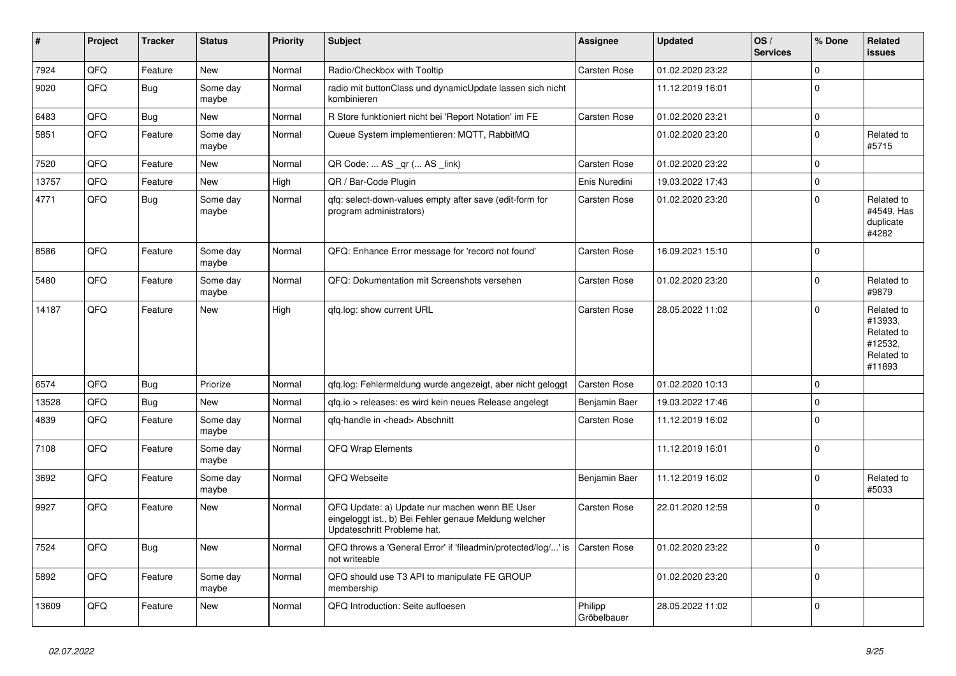| #     | Project | <b>Tracker</b> | <b>Status</b>     | <b>Priority</b> | <b>Subject</b>                                                                                                                        | <b>Assignee</b>        | <b>Updated</b>   | OS/<br><b>Services</b> | % Done       | Related<br><b>issues</b>                                               |
|-------|---------|----------------|-------------------|-----------------|---------------------------------------------------------------------------------------------------------------------------------------|------------------------|------------------|------------------------|--------------|------------------------------------------------------------------------|
| 7924  | QFQ     | Feature        | <b>New</b>        | Normal          | Radio/Checkbox with Tooltip                                                                                                           | <b>Carsten Rose</b>    | 01.02.2020 23:22 |                        | $\Omega$     |                                                                        |
| 9020  | QFQ     | Bug            | Some day<br>maybe | Normal          | radio mit buttonClass und dynamicUpdate lassen sich nicht<br>kombinieren                                                              |                        | 11.12.2019 16:01 |                        | $\Omega$     |                                                                        |
| 6483  | QFQ     | Bug            | <b>New</b>        | Normal          | R Store funktioniert nicht bei 'Report Notation' im FE                                                                                | <b>Carsten Rose</b>    | 01.02.2020 23:21 |                        | $\mathbf 0$  |                                                                        |
| 5851  | QFQ     | Feature        | Some day<br>maybe | Normal          | Queue System implementieren: MQTT, RabbitMQ                                                                                           |                        | 01.02.2020 23:20 |                        | $\Omega$     | Related to<br>#5715                                                    |
| 7520  | QFQ     | Feature        | <b>New</b>        | Normal          | QR Code:  AS _qr ( AS _link)                                                                                                          | Carsten Rose           | 01.02.2020 23:22 |                        | $\Omega$     |                                                                        |
| 13757 | QFQ     | Feature        | <b>New</b>        | High            | QR / Bar-Code Plugin                                                                                                                  | Enis Nuredini          | 19.03.2022 17:43 |                        | $\mathbf{0}$ |                                                                        |
| 4771  | QFQ     | <b>Bug</b>     | Some day<br>maybe | Normal          | gfg: select-down-values empty after save (edit-form for<br>program administrators)                                                    | <b>Carsten Rose</b>    | 01.02.2020 23:20 |                        | $\Omega$     | Related to<br>#4549, Has<br>duplicate<br>#4282                         |
| 8586  | QFQ     | Feature        | Some day<br>maybe | Normal          | QFQ: Enhance Error message for 'record not found'                                                                                     | <b>Carsten Rose</b>    | 16.09.2021 15:10 |                        | $\mathbf 0$  |                                                                        |
| 5480  | QFQ     | Feature        | Some day<br>maybe | Normal          | QFQ: Dokumentation mit Screenshots versehen                                                                                           | <b>Carsten Rose</b>    | 01.02.2020 23:20 |                        | $\Omega$     | Related to<br>#9879                                                    |
| 14187 | QFQ     | Feature        | <b>New</b>        | High            | gfg.log: show current URL                                                                                                             | <b>Carsten Rose</b>    | 28.05.2022 11:02 |                        | $\Omega$     | Related to<br>#13933,<br>Related to<br>#12532.<br>Related to<br>#11893 |
| 6574  | QFQ     | Bug            | Priorize          | Normal          | gfg.log: Fehlermeldung wurde angezeigt, aber nicht geloggt                                                                            | <b>Carsten Rose</b>    | 01.02.2020 10:13 |                        | $\mathbf 0$  |                                                                        |
| 13528 | QFQ     | <b>Bug</b>     | New               | Normal          | gfg.io > releases: es wird kein neues Release angelegt                                                                                | Benjamin Baer          | 19.03.2022 17:46 |                        | $\Omega$     |                                                                        |
| 4839  | QFQ     | Feature        | Some day<br>maybe | Normal          | gfg-handle in <head> Abschnitt</head>                                                                                                 | Carsten Rose           | 11.12.2019 16:02 |                        | $\Omega$     |                                                                        |
| 7108  | QFQ     | Feature        | Some day<br>maybe | Normal          | <b>QFQ Wrap Elements</b>                                                                                                              |                        | 11.12.2019 16:01 |                        | $\mathbf{0}$ |                                                                        |
| 3692  | QFQ     | Feature        | Some day<br>maybe | Normal          | QFQ Webseite                                                                                                                          | Benjamin Baer          | 11.12.2019 16:02 |                        | $\Omega$     | Related to<br>#5033                                                    |
| 9927  | QFQ     | Feature        | <b>New</b>        | Normal          | QFQ Update: a) Update nur machen wenn BE User<br>eingeloggt ist., b) Bei Fehler genaue Meldung welcher<br>Updateschritt Probleme hat. | Carsten Rose           | 22.01.2020 12:59 |                        | $\Omega$     |                                                                        |
| 7524  | QFQ     | <b>Bug</b>     | <b>New</b>        | Normal          | QFQ throws a 'General Error' if 'fileadmin/protected/log/' is<br>not writeable                                                        | <b>Carsten Rose</b>    | 01.02.2020 23:22 |                        | $\Omega$     |                                                                        |
| 5892  | QFQ     | Feature        | Some day<br>maybe | Normal          | QFQ should use T3 API to manipulate FE GROUP<br>membership                                                                            |                        | 01.02.2020 23:20 |                        | $\Omega$     |                                                                        |
| 13609 | QFQ     | Feature        | <b>New</b>        | Normal          | QFQ Introduction: Seite aufloesen                                                                                                     | Philipp<br>Gröbelbauer | 28.05.2022 11:02 |                        | $\Omega$     |                                                                        |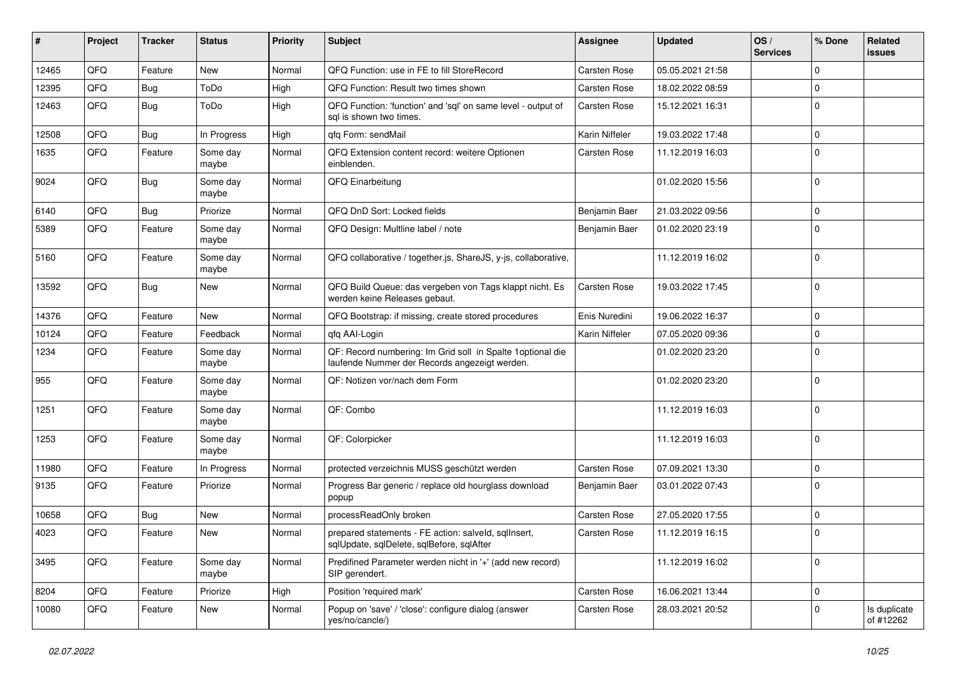| ∦     | Project | <b>Tracker</b> | <b>Status</b>     | <b>Priority</b> | <b>Subject</b>                                                                                               | <b>Assignee</b> | <b>Updated</b>   | OS/<br><b>Services</b> | % Done      | Related<br>issues         |
|-------|---------|----------------|-------------------|-----------------|--------------------------------------------------------------------------------------------------------------|-----------------|------------------|------------------------|-------------|---------------------------|
| 12465 | QFQ     | Feature        | New               | Normal          | QFQ Function: use in FE to fill StoreRecord                                                                  | Carsten Rose    | 05.05.2021 21:58 |                        | $\Omega$    |                           |
| 12395 | QFQ     | Bug            | ToDo              | High            | QFQ Function: Result two times shown                                                                         | Carsten Rose    | 18.02.2022 08:59 |                        | 0           |                           |
| 12463 | QFQ     | Bug            | ToDo              | High            | QFQ Function: 'function' and 'sql' on same level - output of<br>sal is shown two times.                      | Carsten Rose    | 15.12.2021 16:31 |                        | $\Omega$    |                           |
| 12508 | QFQ     | Bug            | In Progress       | High            | gfg Form: sendMail                                                                                           | Karin Niffeler  | 19.03.2022 17:48 |                        | $\Omega$    |                           |
| 1635  | QFQ     | Feature        | Some day<br>maybe | Normal          | QFQ Extension content record: weitere Optionen<br>einblenden.                                                | Carsten Rose    | 11.12.2019 16:03 |                        | $\Omega$    |                           |
| 9024  | QFQ     | <b>Bug</b>     | Some day<br>maybe | Normal          | QFQ Einarbeitung                                                                                             |                 | 01.02.2020 15:56 |                        | $\Omega$    |                           |
| 6140  | QFQ     | Bug            | Priorize          | Normal          | QFQ DnD Sort: Locked fields                                                                                  | Benjamin Baer   | 21.03.2022 09:56 |                        | $\mathbf 0$ |                           |
| 5389  | QFQ     | Feature        | Some day<br>maybe | Normal          | QFQ Design: Multline label / note                                                                            | Benjamin Baer   | 01.02.2020 23:19 |                        | $\Omega$    |                           |
| 5160  | QFQ     | Feature        | Some day<br>maybe | Normal          | QFQ collaborative / together.js, ShareJS, y-js, collaborative,                                               |                 | 11.12.2019 16:02 |                        | $\mathbf 0$ |                           |
| 13592 | QFQ     | Bug            | New               | Normal          | QFQ Build Queue: das vergeben von Tags klappt nicht. Es<br>werden keine Releases gebaut.                     | Carsten Rose    | 19.03.2022 17:45 |                        | $\mathbf 0$ |                           |
| 14376 | QFQ     | Feature        | New               | Normal          | QFQ Bootstrap: if missing, create stored procedures                                                          | Enis Nuredini   | 19.06.2022 16:37 |                        | $\mathbf 0$ |                           |
| 10124 | QFQ     | Feature        | Feedback          | Normal          | gfg AAI-Login                                                                                                | Karin Niffeler  | 07.05.2020 09:36 |                        | $\mathbf 0$ |                           |
| 1234  | QFQ     | Feature        | Some day<br>maybe | Normal          | QF: Record numbering: Im Grid soll in Spalte 1 optional die<br>laufende Nummer der Records angezeigt werden. |                 | 01.02.2020 23:20 |                        | $\Omega$    |                           |
| 955   | QFQ     | Feature        | Some day<br>maybe | Normal          | QF: Notizen vor/nach dem Form                                                                                |                 | 01.02.2020 23:20 |                        | $\mathbf 0$ |                           |
| 1251  | QFQ     | Feature        | Some day<br>maybe | Normal          | QF: Combo                                                                                                    |                 | 11.12.2019 16:03 |                        | $\mathbf 0$ |                           |
| 1253  | QFQ     | Feature        | Some day<br>maybe | Normal          | QF: Colorpicker                                                                                              |                 | 11.12.2019 16:03 |                        | $\mathbf 0$ |                           |
| 11980 | QFQ     | Feature        | In Progress       | Normal          | protected verzeichnis MUSS geschützt werden                                                                  | Carsten Rose    | 07.09.2021 13:30 |                        | 0           |                           |
| 9135  | QFQ     | Feature        | Priorize          | Normal          | Progress Bar generic / replace old hourglass download<br>popup                                               | Benjamin Baer   | 03.01.2022 07:43 |                        | $\Omega$    |                           |
| 10658 | QFQ     | Bug            | <b>New</b>        | Normal          | processReadOnly broken                                                                                       | Carsten Rose    | 27.05.2020 17:55 |                        | $\Omega$    |                           |
| 4023  | QFQ     | Feature        | New               | Normal          | prepared statements - FE action: salveld, sglInsert,<br>sqlUpdate, sqlDelete, sqlBefore, sqlAfter            | Carsten Rose    | 11.12.2019 16:15 |                        | $\mathbf 0$ |                           |
| 3495  | QFQ     | Feature        | Some day<br>maybe | Normal          | Predifined Parameter werden nicht in '+' (add new record)<br>SIP gerendert.                                  |                 | 11.12.2019 16:02 |                        | $\mathbf 0$ |                           |
| 8204  | QFQ     | Feature        | Priorize          | High            | Position 'required mark'                                                                                     | Carsten Rose    | 16.06.2021 13:44 |                        | $\mathbf 0$ |                           |
| 10080 | QFQ     | Feature        | New               | Normal          | Popup on 'save' / 'close': configure dialog (answer<br>yes/no/cancle/)                                       | Carsten Rose    | 28.03.2021 20:52 |                        | $\mathbf 0$ | Is duplicate<br>of #12262 |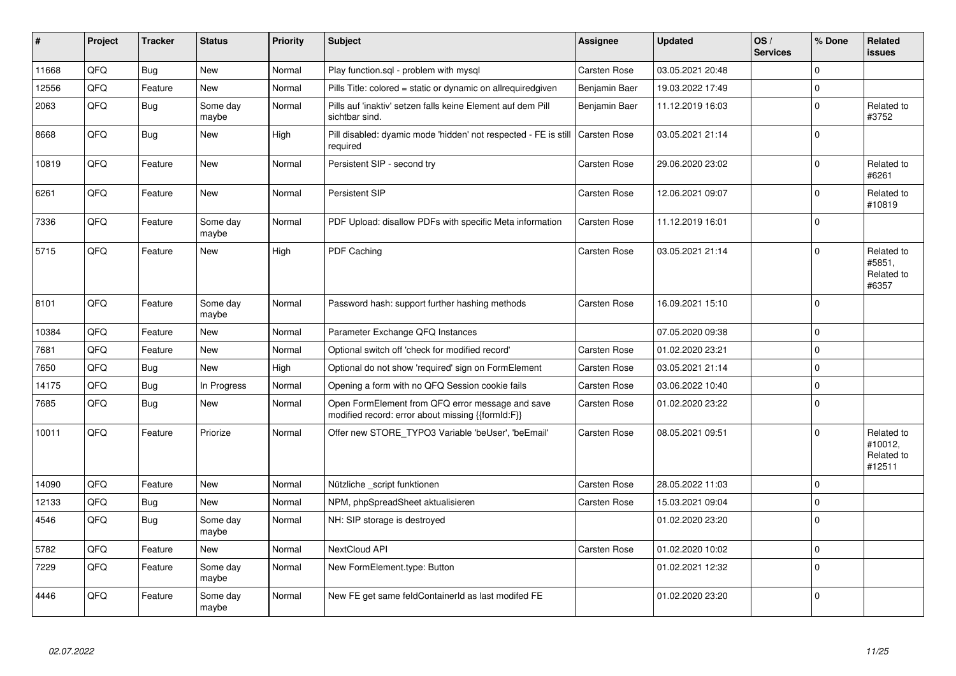| #     | Project | <b>Tracker</b> | <b>Status</b>     | <b>Priority</b> | <b>Subject</b>                                                                                        | Assignee            | <b>Updated</b>   | OS/<br><b>Services</b> | % Done      | Related<br><b>issues</b>                      |
|-------|---------|----------------|-------------------|-----------------|-------------------------------------------------------------------------------------------------------|---------------------|------------------|------------------------|-------------|-----------------------------------------------|
| 11668 | QFQ     | <b>Bug</b>     | New               | Normal          | Play function.sql - problem with mysql                                                                | Carsten Rose        | 03.05.2021 20:48 |                        | $\mathbf 0$ |                                               |
| 12556 | QFQ     | Feature        | New               | Normal          | Pills Title: colored = static or dynamic on allrequiredgiven                                          | Benjamin Baer       | 19.03.2022 17:49 |                        | $\mathbf 0$ |                                               |
| 2063  | QFQ     | <b>Bug</b>     | Some day<br>maybe | Normal          | Pills auf 'inaktiv' setzen falls keine Element auf dem Pill<br>sichtbar sind.                         | Benjamin Baer       | 11.12.2019 16:03 |                        | $\mathbf 0$ | Related to<br>#3752                           |
| 8668  | QFQ     | <b>Bug</b>     | New               | High            | Pill disabled: dyamic mode 'hidden' not respected - FE is still<br>required                           | <b>Carsten Rose</b> | 03.05.2021 21:14 |                        | $\pmb{0}$   |                                               |
| 10819 | QFQ     | Feature        | New               | Normal          | Persistent SIP - second try                                                                           | Carsten Rose        | 29.06.2020 23:02 |                        | $\mathbf 0$ | Related to<br>#6261                           |
| 6261  | QFQ     | Feature        | New               | Normal          | Persistent SIP                                                                                        | Carsten Rose        | 12.06.2021 09:07 |                        | $\mathbf 0$ | Related to<br>#10819                          |
| 7336  | QFQ     | Feature        | Some day<br>maybe | Normal          | PDF Upload: disallow PDFs with specific Meta information                                              | Carsten Rose        | 11.12.2019 16:01 |                        | $\mathbf 0$ |                                               |
| 5715  | QFQ     | Feature        | <b>New</b>        | High            | PDF Caching                                                                                           | <b>Carsten Rose</b> | 03.05.2021 21:14 |                        | $\mathbf 0$ | Related to<br>#5851.<br>Related to<br>#6357   |
| 8101  | QFQ     | Feature        | Some day<br>maybe | Normal          | Password hash: support further hashing methods                                                        | Carsten Rose        | 16.09.2021 15:10 |                        | $\mathbf 0$ |                                               |
| 10384 | QFQ     | Feature        | New               | Normal          | Parameter Exchange QFQ Instances                                                                      |                     | 07.05.2020 09:38 |                        | $\pmb{0}$   |                                               |
| 7681  | QFQ     | Feature        | New               | Normal          | Optional switch off 'check for modified record'                                                       | <b>Carsten Rose</b> | 01.02.2020 23:21 |                        | $\mathbf 0$ |                                               |
| 7650  | QFQ     | Bug            | New               | High            | Optional do not show 'required' sign on FormElement                                                   | Carsten Rose        | 03.05.2021 21:14 |                        | $\mathbf 0$ |                                               |
| 14175 | QFQ     | Bug            | In Progress       | Normal          | Opening a form with no QFQ Session cookie fails                                                       | <b>Carsten Rose</b> | 03.06.2022 10:40 |                        | $\mathbf 0$ |                                               |
| 7685  | QFQ     | <b>Bug</b>     | New               | Normal          | Open FormElement from QFQ error message and save<br>modified record: error about missing {{formId:F}} | Carsten Rose        | 01.02.2020 23:22 |                        | $\mathbf 0$ |                                               |
| 10011 | QFQ     | Feature        | Priorize          | Normal          | Offer new STORE TYPO3 Variable 'beUser', 'beEmail'                                                    | Carsten Rose        | 08.05.2021 09:51 |                        | $\Omega$    | Related to<br>#10012,<br>Related to<br>#12511 |
| 14090 | QFQ     | Feature        | <b>New</b>        | Normal          | Nützliche script funktionen                                                                           | Carsten Rose        | 28.05.2022 11:03 |                        | $\Omega$    |                                               |
| 12133 | QFQ     | <b>Bug</b>     | New               | Normal          | NPM, phpSpreadSheet aktualisieren                                                                     | <b>Carsten Rose</b> | 15.03.2021 09:04 |                        | $\mathbf 0$ |                                               |
| 4546  | QFQ     | <b>Bug</b>     | Some day<br>maybe | Normal          | NH: SIP storage is destroyed                                                                          |                     | 01.02.2020 23:20 |                        | $\Omega$    |                                               |
| 5782  | QFQ     | Feature        | <b>New</b>        | Normal          | NextCloud API                                                                                         | Carsten Rose        | 01.02.2020 10:02 |                        | $\mathbf 0$ |                                               |
| 7229  | QFQ     | Feature        | Some day<br>maybe | Normal          | New FormElement.type: Button                                                                          |                     | 01.02.2021 12:32 |                        | $\mathbf 0$ |                                               |
| 4446  | QFQ     | Feature        | Some day<br>maybe | Normal          | New FE get same feldContainerId as last modifed FE                                                    |                     | 01.02.2020 23:20 |                        | $\Omega$    |                                               |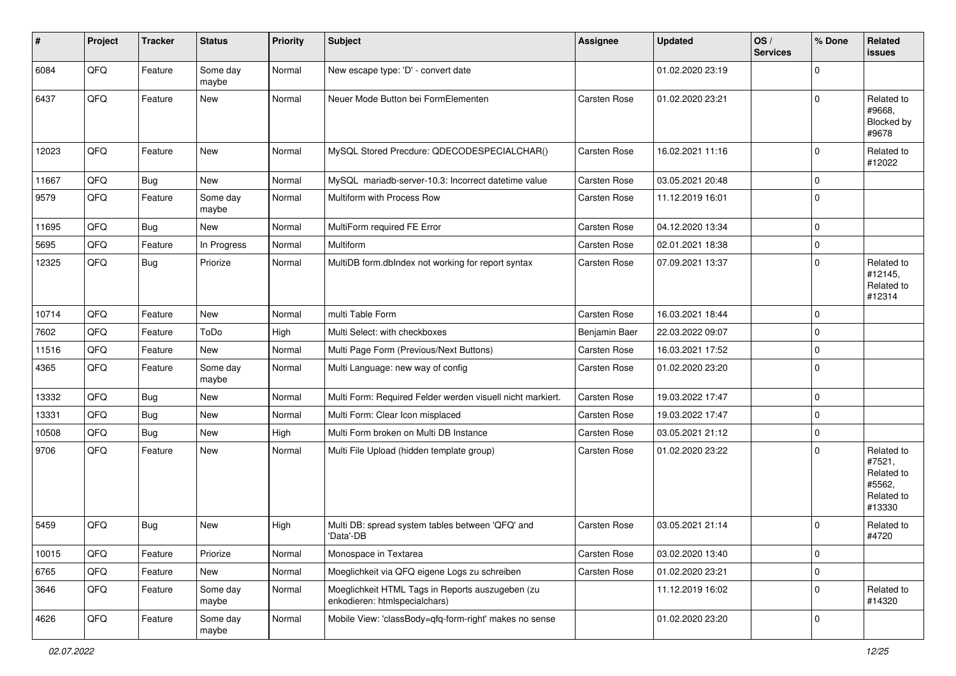| $\sharp$ | Project | <b>Tracker</b> | <b>Status</b>     | <b>Priority</b> | <b>Subject</b>                                                                    | <b>Assignee</b>     | <b>Updated</b>   | OS/<br><b>Services</b> | % Done      | Related<br><b>issues</b>                                             |
|----------|---------|----------------|-------------------|-----------------|-----------------------------------------------------------------------------------|---------------------|------------------|------------------------|-------------|----------------------------------------------------------------------|
| 6084     | QFQ     | Feature        | Some day<br>maybe | Normal          | New escape type: 'D' - convert date                                               |                     | 01.02.2020 23:19 |                        | $\Omega$    |                                                                      |
| 6437     | QFQ     | Feature        | New               | Normal          | Neuer Mode Button bei FormElementen                                               | Carsten Rose        | 01.02.2020 23:21 |                        | $\Omega$    | Related to<br>#9668,<br>Blocked by<br>#9678                          |
| 12023    | QFQ     | Feature        | New               | Normal          | MySQL Stored Precdure: QDECODESPECIALCHAR()                                       | Carsten Rose        | 16.02.2021 11:16 |                        | $\Omega$    | Related to<br>#12022                                                 |
| 11667    | QFQ     | Bug            | New               | Normal          | MySQL mariadb-server-10.3: Incorrect datetime value                               | Carsten Rose        | 03.05.2021 20:48 |                        | $\mathbf 0$ |                                                                      |
| 9579     | QFQ     | Feature        | Some day<br>maybe | Normal          | Multiform with Process Row                                                        | Carsten Rose        | 11.12.2019 16:01 |                        | $\mathbf 0$ |                                                                      |
| 11695    | QFQ     | <b>Bug</b>     | New               | Normal          | MultiForm required FE Error                                                       | Carsten Rose        | 04.12.2020 13:34 |                        | $\mathbf 0$ |                                                                      |
| 5695     | QFQ     | Feature        | In Progress       | Normal          | <b>Multiform</b>                                                                  | Carsten Rose        | 02.01.2021 18:38 |                        | $\mathbf 0$ |                                                                      |
| 12325    | QFQ     | Bug            | Priorize          | Normal          | MultiDB form.dblndex not working for report syntax                                | Carsten Rose        | 07.09.2021 13:37 |                        | $\Omega$    | Related to<br>#12145,<br>Related to<br>#12314                        |
| 10714    | QFQ     | Feature        | New               | Normal          | multi Table Form                                                                  | Carsten Rose        | 16.03.2021 18:44 |                        | $\mathbf 0$ |                                                                      |
| 7602     | QFQ     | Feature        | ToDo              | High            | Multi Select: with checkboxes                                                     | Benjamin Baer       | 22.03.2022 09:07 |                        | $\Omega$    |                                                                      |
| 11516    | QFQ     | Feature        | New               | Normal          | Multi Page Form (Previous/Next Buttons)                                           | <b>Carsten Rose</b> | 16.03.2021 17:52 |                        | $\mathbf 0$ |                                                                      |
| 4365     | QFQ     | Feature        | Some day<br>maybe | Normal          | Multi Language: new way of config                                                 | Carsten Rose        | 01.02.2020 23:20 |                        | $\mathbf 0$ |                                                                      |
| 13332    | QFQ     | Bug            | New               | Normal          | Multi Form: Required Felder werden visuell nicht markiert.                        | Carsten Rose        | 19.03.2022 17:47 |                        | $\mathbf 0$ |                                                                      |
| 13331    | QFQ     | Bug            | New               | Normal          | Multi Form: Clear Icon misplaced                                                  | Carsten Rose        | 19.03.2022 17:47 |                        | $\mathbf 0$ |                                                                      |
| 10508    | QFQ     | <b>Bug</b>     | New               | High            | Multi Form broken on Multi DB Instance                                            | Carsten Rose        | 03.05.2021 21:12 |                        | $\mathbf 0$ |                                                                      |
| 9706     | QFQ     | Feature        | New               | Normal          | Multi File Upload (hidden template group)                                         | Carsten Rose        | 01.02.2020 23:22 |                        | $\Omega$    | Related to<br>#7521,<br>Related to<br>#5562,<br>Related to<br>#13330 |
| 5459     | QFQ     | Bug            | New               | High            | Multi DB: spread system tables between 'QFQ' and<br>'Data'-DB                     | <b>Carsten Rose</b> | 03.05.2021 21:14 |                        | $\Omega$    | Related to<br>#4720                                                  |
| 10015    | QFQ     | Feature        | Priorize          | Normal          | Monospace in Textarea                                                             | Carsten Rose        | 03.02.2020 13:40 |                        | 0           |                                                                      |
| 6765     | QFQ     | Feature        | New               | Normal          | Moeglichkeit via QFQ eigene Logs zu schreiben                                     | Carsten Rose        | 01.02.2020 23:21 |                        | $\mathbf 0$ |                                                                      |
| 3646     | QFQ     | Feature        | Some day<br>maybe | Normal          | Moeglichkeit HTML Tags in Reports auszugeben (zu<br>enkodieren: htmlspecialchars) |                     | 11.12.2019 16:02 |                        | $\mathbf 0$ | Related to<br>#14320                                                 |
| 4626     | QFQ     | Feature        | Some day<br>maybe | Normal          | Mobile View: 'classBody=qfq-form-right' makes no sense                            |                     | 01.02.2020 23:20 |                        | 0           |                                                                      |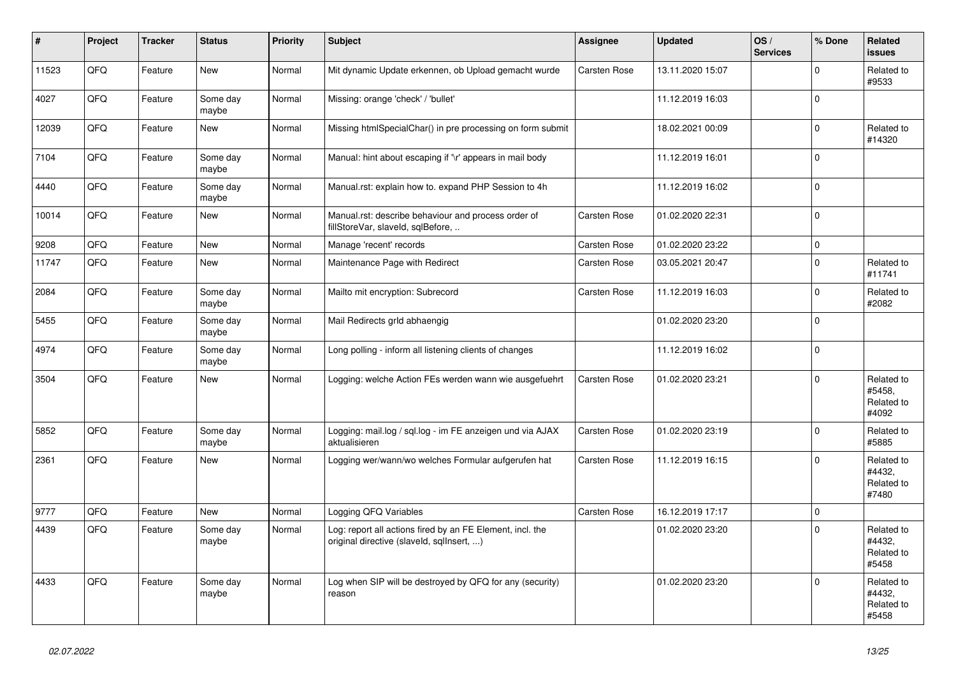| $\vert$ # | Project | <b>Tracker</b> | <b>Status</b>     | <b>Priority</b> | <b>Subject</b>                                                                                         | Assignee            | <b>Updated</b>   | OS/<br><b>Services</b> | % Done      | Related<br><b>issues</b>                    |
|-----------|---------|----------------|-------------------|-----------------|--------------------------------------------------------------------------------------------------------|---------------------|------------------|------------------------|-------------|---------------------------------------------|
| 11523     | QFQ     | Feature        | <b>New</b>        | Normal          | Mit dynamic Update erkennen, ob Upload gemacht wurde                                                   | Carsten Rose        | 13.11.2020 15:07 |                        | $\Omega$    | Related to<br>#9533                         |
| 4027      | QFQ     | Feature        | Some day<br>maybe | Normal          | Missing: orange 'check' / 'bullet'                                                                     |                     | 11.12.2019 16:03 |                        | $\mathbf 0$ |                                             |
| 12039     | QFQ     | Feature        | New               | Normal          | Missing htmlSpecialChar() in pre processing on form submit                                             |                     | 18.02.2021 00:09 |                        | $\Omega$    | Related to<br>#14320                        |
| 7104      | QFQ     | Feature        | Some day<br>maybe | Normal          | Manual: hint about escaping if '\r' appears in mail body                                               |                     | 11.12.2019 16:01 |                        | $\mathbf 0$ |                                             |
| 4440      | QFQ     | Feature        | Some day<br>maybe | Normal          | Manual.rst: explain how to. expand PHP Session to 4h                                                   |                     | 11.12.2019 16:02 |                        | $\Omega$    |                                             |
| 10014     | QFQ     | Feature        | <b>New</b>        | Normal          | Manual.rst: describe behaviour and process order of<br>fillStoreVar, slaveld, sqlBefore,               | Carsten Rose        | 01.02.2020 22:31 |                        | $\Omega$    |                                             |
| 9208      | QFQ     | Feature        | <b>New</b>        | Normal          | Manage 'recent' records                                                                                | <b>Carsten Rose</b> | 01.02.2020 23:22 |                        | $\Omega$    |                                             |
| 11747     | QFQ     | Feature        | <b>New</b>        | Normal          | Maintenance Page with Redirect                                                                         | Carsten Rose        | 03.05.2021 20:47 |                        | $\Omega$    | Related to<br>#11741                        |
| 2084      | QFQ     | Feature        | Some day<br>maybe | Normal          | Mailto mit encryption: Subrecord                                                                       | <b>Carsten Rose</b> | 11.12.2019 16:03 |                        | $\Omega$    | Related to<br>#2082                         |
| 5455      | QFQ     | Feature        | Some day<br>maybe | Normal          | Mail Redirects grld abhaengig                                                                          |                     | 01.02.2020 23:20 |                        | $\Omega$    |                                             |
| 4974      | QFQ     | Feature        | Some day<br>maybe | Normal          | Long polling - inform all listening clients of changes                                                 |                     | 11.12.2019 16:02 |                        | $\Omega$    |                                             |
| 3504      | QFQ     | Feature        | <b>New</b>        | Normal          | Logging: welche Action FEs werden wann wie ausgefuehrt                                                 | <b>Carsten Rose</b> | 01.02.2020 23:21 |                        | $\Omega$    | Related to<br>#5458.<br>Related to<br>#4092 |
| 5852      | QFQ     | Feature        | Some day<br>maybe | Normal          | Logging: mail.log / sql.log - im FE anzeigen und via AJAX<br>aktualisieren                             | Carsten Rose        | 01.02.2020 23:19 |                        | $\Omega$    | Related to<br>#5885                         |
| 2361      | QFQ     | Feature        | New               | Normal          | Logging wer/wann/wo welches Formular aufgerufen hat                                                    | Carsten Rose        | 11.12.2019 16:15 |                        | $\Omega$    | Related to<br>#4432,<br>Related to<br>#7480 |
| 9777      | QFQ     | Feature        | <b>New</b>        | Normal          | Logging QFQ Variables                                                                                  | Carsten Rose        | 16.12.2019 17:17 |                        | $\mathbf 0$ |                                             |
| 4439      | QFQ     | Feature        | Some day<br>maybe | Normal          | Log: report all actions fired by an FE Element, incl. the<br>original directive (slaveld, sqlInsert, ) |                     | 01.02.2020 23:20 |                        | $\Omega$    | Related to<br>#4432,<br>Related to<br>#5458 |
| 4433      | QFQ     | Feature        | Some day<br>maybe | Normal          | Log when SIP will be destroyed by QFQ for any (security)<br>reason                                     |                     | 01.02.2020 23:20 |                        | $\mathbf 0$ | Related to<br>#4432,<br>Related to<br>#5458 |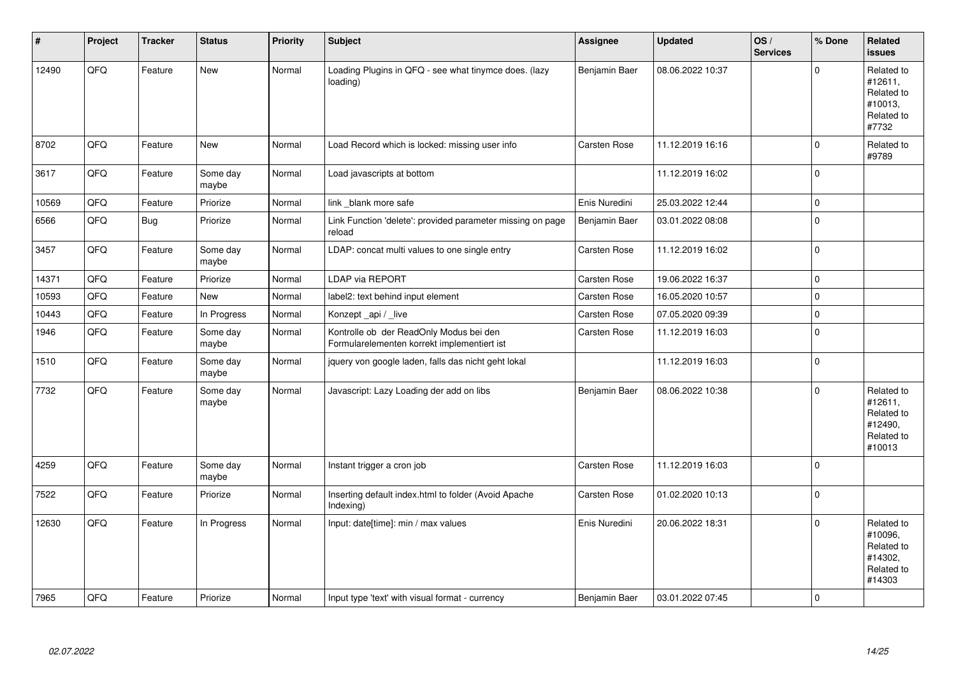| #     | Project | <b>Tracker</b> | <b>Status</b>     | <b>Priority</b> | <b>Subject</b>                                                                         | Assignee      | <b>Updated</b>   | OS/<br><b>Services</b> | % Done      | Related<br>issues                                                      |
|-------|---------|----------------|-------------------|-----------------|----------------------------------------------------------------------------------------|---------------|------------------|------------------------|-------------|------------------------------------------------------------------------|
| 12490 | QFQ     | Feature        | New               | Normal          | Loading Plugins in QFQ - see what tinymce does. (lazy<br>loading)                      | Benjamin Baer | 08.06.2022 10:37 |                        | $\Omega$    | Related to<br>#12611,<br>Related to<br>#10013,<br>Related to<br>#7732  |
| 8702  | QFQ     | Feature        | New               | Normal          | Load Record which is locked: missing user info                                         | Carsten Rose  | 11.12.2019 16:16 |                        | $\Omega$    | Related to<br>#9789                                                    |
| 3617  | QFQ     | Feature        | Some day<br>maybe | Normal          | Load javascripts at bottom                                                             |               | 11.12.2019 16:02 |                        | $\mathbf 0$ |                                                                        |
| 10569 | QFQ     | Feature        | Priorize          | Normal          | link blank more safe                                                                   | Enis Nuredini | 25.03.2022 12:44 |                        | $\mathbf 0$ |                                                                        |
| 6566  | QFQ     | <b>Bug</b>     | Priorize          | Normal          | Link Function 'delete': provided parameter missing on page<br>reload                   | Benjamin Baer | 03.01.2022 08:08 |                        | $\mathbf 0$ |                                                                        |
| 3457  | QFQ     | Feature        | Some day<br>maybe | Normal          | LDAP: concat multi values to one single entry                                          | Carsten Rose  | 11.12.2019 16:02 |                        | $\mathbf 0$ |                                                                        |
| 14371 | QFQ     | Feature        | Priorize          | Normal          | LDAP via REPORT                                                                        | Carsten Rose  | 19.06.2022 16:37 |                        | $\Omega$    |                                                                        |
| 10593 | QFQ     | Feature        | New               | Normal          | label2: text behind input element                                                      | Carsten Rose  | 16.05.2020 10:57 |                        | $\mathbf 0$ |                                                                        |
| 10443 | QFQ     | Feature        | In Progress       | Normal          | Konzept api / live                                                                     | Carsten Rose  | 07.05.2020 09:39 |                        | $\mathbf 0$ |                                                                        |
| 1946  | QFQ     | Feature        | Some day<br>maybe | Normal          | Kontrolle ob der ReadOnly Modus bei den<br>Formularelementen korrekt implementiert ist | Carsten Rose  | 11.12.2019 16:03 |                        | $\Omega$    |                                                                        |
| 1510  | QFQ     | Feature        | Some day<br>maybe | Normal          | jquery von google laden, falls das nicht geht lokal                                    |               | 11.12.2019 16:03 |                        | $\mathbf 0$ |                                                                        |
| 7732  | QFQ     | Feature        | Some day<br>maybe | Normal          | Javascript: Lazy Loading der add on libs                                               | Benjamin Baer | 08.06.2022 10:38 |                        | $\Omega$    | Related to<br>#12611,<br>Related to<br>#12490,<br>Related to<br>#10013 |
| 4259  | QFQ     | Feature        | Some day<br>maybe | Normal          | Instant trigger a cron job                                                             | Carsten Rose  | 11.12.2019 16:03 |                        | $\mathbf 0$ |                                                                        |
| 7522  | QFQ     | Feature        | Priorize          | Normal          | Inserting default index.html to folder (Avoid Apache<br>Indexing)                      | Carsten Rose  | 01.02.2020 10:13 |                        | $\Omega$    |                                                                        |
| 12630 | QFQ     | Feature        | In Progress       | Normal          | Input: date[time]: min / max values                                                    | Enis Nuredini | 20.06.2022 18:31 |                        | $\Omega$    | Related to<br>#10096,<br>Related to<br>#14302.<br>Related to<br>#14303 |
| 7965  | QFQ     | Feature        | Priorize          | Normal          | Input type 'text' with visual format - currency                                        | Benjamin Baer | 03.01.2022 07:45 |                        | $\mathbf 0$ |                                                                        |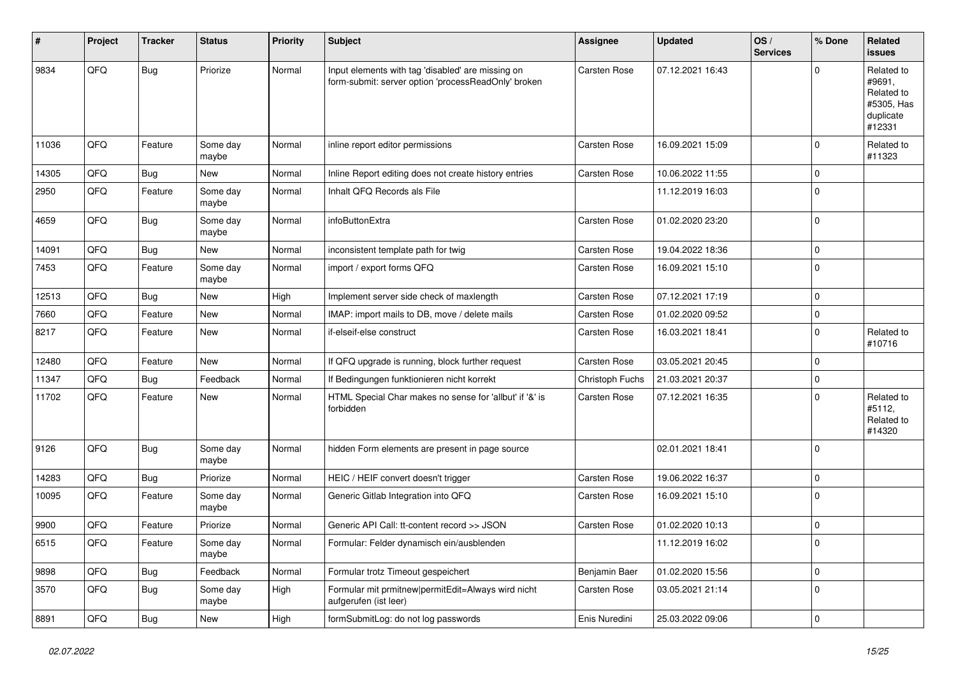| #     | Project | <b>Tracker</b> | <b>Status</b>     | <b>Priority</b> | Subject                                                                                                  | <b>Assignee</b>     | <b>Updated</b>   | OS/<br><b>Services</b> | % Done      | Related<br>issues                                                       |
|-------|---------|----------------|-------------------|-----------------|----------------------------------------------------------------------------------------------------------|---------------------|------------------|------------------------|-------------|-------------------------------------------------------------------------|
| 9834  | QFQ     | Bug            | Priorize          | Normal          | Input elements with tag 'disabled' are missing on<br>form-submit: server option 'processReadOnly' broken | <b>Carsten Rose</b> | 07.12.2021 16:43 |                        | $\Omega$    | Related to<br>#9691,<br>Related to<br>#5305, Has<br>duplicate<br>#12331 |
| 11036 | QFQ     | Feature        | Some day<br>maybe | Normal          | inline report editor permissions                                                                         | Carsten Rose        | 16.09.2021 15:09 |                        | $\Omega$    | Related to<br>#11323                                                    |
| 14305 | QFQ     | <b>Bug</b>     | New               | Normal          | Inline Report editing does not create history entries                                                    | <b>Carsten Rose</b> | 10.06.2022 11:55 |                        | $\mathbf 0$ |                                                                         |
| 2950  | QFQ     | Feature        | Some day<br>maybe | Normal          | Inhalt QFQ Records als File                                                                              |                     | 11.12.2019 16:03 |                        | $\Omega$    |                                                                         |
| 4659  | QFQ     | <b>Bug</b>     | Some day<br>maybe | Normal          | infoButtonExtra                                                                                          | <b>Carsten Rose</b> | 01.02.2020 23:20 |                        | $\Omega$    |                                                                         |
| 14091 | QFQ     | <b>Bug</b>     | <b>New</b>        | Normal          | inconsistent template path for twig                                                                      | Carsten Rose        | 19.04.2022 18:36 |                        | $\Omega$    |                                                                         |
| 7453  | QFQ     | Feature        | Some day<br>maybe | Normal          | import / export forms QFQ                                                                                | Carsten Rose        | 16.09.2021 15:10 |                        | $\Omega$    |                                                                         |
| 12513 | QFQ     | <b>Bug</b>     | New               | High            | Implement server side check of maxlength                                                                 | Carsten Rose        | 07.12.2021 17:19 |                        | $\Omega$    |                                                                         |
| 7660  | QFQ     | Feature        | New               | Normal          | IMAP: import mails to DB, move / delete mails                                                            | Carsten Rose        | 01.02.2020 09:52 |                        | $\mathbf 0$ |                                                                         |
| 8217  | QFQ     | Feature        | New               | Normal          | if-elseif-else construct                                                                                 | Carsten Rose        | 16.03.2021 18:41 |                        | $\Omega$    | Related to<br>#10716                                                    |
| 12480 | QFQ     | Feature        | New               | Normal          | If QFQ upgrade is running, block further request                                                         | Carsten Rose        | 03.05.2021 20:45 |                        | $\mathbf 0$ |                                                                         |
| 11347 | QFQ     | Bug            | Feedback          | Normal          | If Bedingungen funktionieren nicht korrekt                                                               | Christoph Fuchs     | 21.03.2021 20:37 |                        | $\mathbf 0$ |                                                                         |
| 11702 | QFQ     | Feature        | New               | Normal          | HTML Special Char makes no sense for 'allbut' if '&' is<br>forbidden                                     | Carsten Rose        | 07.12.2021 16:35 |                        | $\Omega$    | Related to<br>#5112,<br>Related to<br>#14320                            |
| 9126  | QFQ     | <b>Bug</b>     | Some day<br>maybe | Normal          | hidden Form elements are present in page source                                                          |                     | 02.01.2021 18:41 |                        | $\Omega$    |                                                                         |
| 14283 | QFQ     | <b>Bug</b>     | Priorize          | Normal          | HEIC / HEIF convert doesn't trigger                                                                      | <b>Carsten Rose</b> | 19.06.2022 16:37 |                        | $\mathbf 0$ |                                                                         |
| 10095 | QFQ     | Feature        | Some day<br>maybe | Normal          | Generic Gitlab Integration into QFQ                                                                      | Carsten Rose        | 16.09.2021 15:10 |                        | $\Omega$    |                                                                         |
| 9900  | QFQ     | Feature        | Priorize          | Normal          | Generic API Call: tt-content record >> JSON                                                              | Carsten Rose        | 01.02.2020 10:13 |                        | $\mathbf 0$ |                                                                         |
| 6515  | QFQ     | Feature        | Some day<br>maybe | Normal          | Formular: Felder dynamisch ein/ausblenden                                                                |                     | 11.12.2019 16:02 |                        | U           |                                                                         |
| 9898  | QFQ     | Bug            | Feedback          | Normal          | Formular trotz Timeout gespeichert                                                                       | Benjamin Baer       | 01.02.2020 15:56 |                        | 0           |                                                                         |
| 3570  | QFQ     | <b>Bug</b>     | Some day<br>maybe | High            | Formular mit prmitnew permitEdit=Always wird nicht<br>aufgerufen (ist leer)                              | Carsten Rose        | 03.05.2021 21:14 |                        | $\mathbf 0$ |                                                                         |
| 8891  | QFQ     | Bug            | New               | High            | formSubmitLog: do not log passwords                                                                      | Enis Nuredini       | 25.03.2022 09:06 |                        | 0           |                                                                         |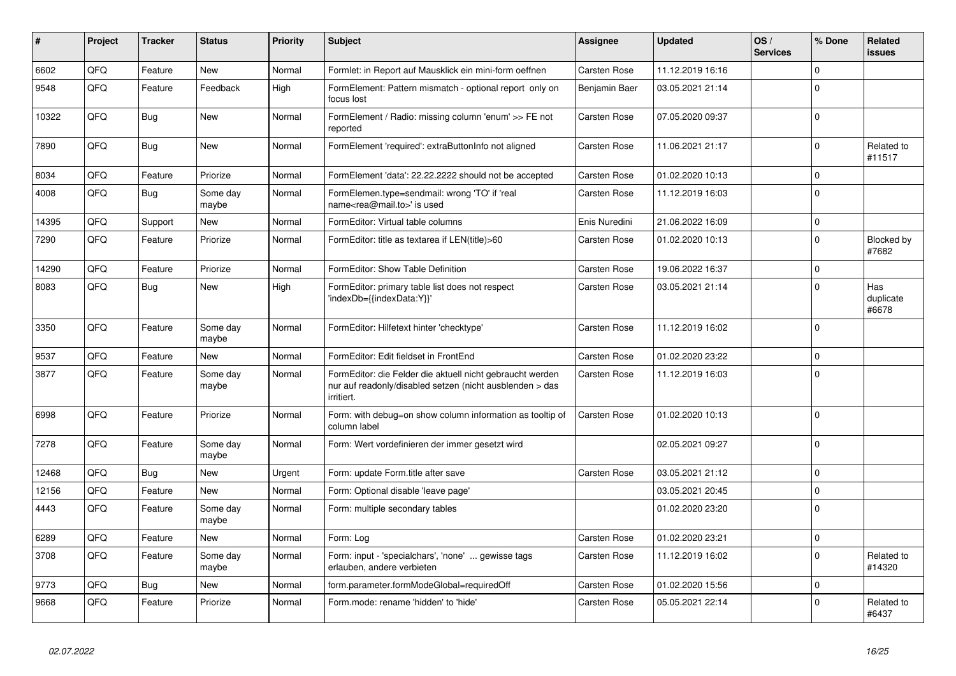| ∦     | Project | Tracker    | <b>Status</b>     | <b>Priority</b> | <b>Subject</b>                                                                                                                      | Assignee            | <b>Updated</b>   | OS/<br><b>Services</b> | % Done      | Related<br>issues         |
|-------|---------|------------|-------------------|-----------------|-------------------------------------------------------------------------------------------------------------------------------------|---------------------|------------------|------------------------|-------------|---------------------------|
| 6602  | QFQ     | Feature    | <b>New</b>        | Normal          | Formlet: in Report auf Mausklick ein mini-form oeffnen                                                                              | Carsten Rose        | 11.12.2019 16:16 |                        | $\Omega$    |                           |
| 9548  | QFQ     | Feature    | Feedback          | High            | FormElement: Pattern mismatch - optional report only on<br>focus lost                                                               | Benjamin Baer       | 03.05.2021 21:14 |                        | $\Omega$    |                           |
| 10322 | QFQ     | <b>Bug</b> | <b>New</b>        | Normal          | FormElement / Radio: missing column 'enum' >> FE not<br>reported                                                                    | Carsten Rose        | 07.05.2020 09:37 |                        | $\Omega$    |                           |
| 7890  | QFQ     | Bug        | <b>New</b>        | Normal          | FormElement 'required': extraButtonInfo not aligned                                                                                 | Carsten Rose        | 11.06.2021 21:17 |                        | $\Omega$    | Related to<br>#11517      |
| 8034  | QFQ     | Feature    | Priorize          | Normal          | FormElement 'data': 22.22.2222 should not be accepted                                                                               | Carsten Rose        | 01.02.2020 10:13 |                        | $\mathbf 0$ |                           |
| 4008  | QFQ     | Bug        | Some day<br>maybe | Normal          | FormElemen.type=sendmail: wrong 'TO' if 'real<br>name <rea@mail.to>' is used</rea@mail.to>                                          | Carsten Rose        | 11.12.2019 16:03 |                        | $\Omega$    |                           |
| 14395 | QFQ     | Support    | New               | Normal          | FormEditor: Virtual table columns                                                                                                   | Enis Nuredini       | 21.06.2022 16:09 |                        | $\Omega$    |                           |
| 7290  | QFQ     | Feature    | Priorize          | Normal          | FormEditor: title as textarea if LEN(title)>60                                                                                      | Carsten Rose        | 01.02.2020 10:13 |                        | $\Omega$    | Blocked by<br>#7682       |
| 14290 | QFQ     | Feature    | Priorize          | Normal          | FormEditor: Show Table Definition                                                                                                   | Carsten Rose        | 19.06.2022 16:37 |                        | $\Omega$    |                           |
| 8083  | QFQ     | Bug        | <b>New</b>        | High            | FormEditor: primary table list does not respect<br>'indexDb={{indexData:Y}}'                                                        | Carsten Rose        | 03.05.2021 21:14 |                        | $\Omega$    | Has<br>duplicate<br>#6678 |
| 3350  | QFQ     | Feature    | Some day<br>maybe | Normal          | FormEditor: Hilfetext hinter 'checktype'                                                                                            | Carsten Rose        | 11.12.2019 16:02 |                        | $\Omega$    |                           |
| 9537  | QFQ     | Feature    | <b>New</b>        | Normal          | FormEditor: Edit fieldset in FrontEnd                                                                                               | Carsten Rose        | 01.02.2020 23:22 |                        | $\Omega$    |                           |
| 3877  | QFQ     | Feature    | Some day<br>maybe | Normal          | FormEditor: die Felder die aktuell nicht gebraucht werden<br>nur auf readonly/disabled setzen (nicht ausblenden > das<br>irritiert. | Carsten Rose        | 11.12.2019 16:03 |                        | $\Omega$    |                           |
| 6998  | QFQ     | Feature    | Priorize          | Normal          | Form: with debug=on show column information as tooltip of<br>column label                                                           | Carsten Rose        | 01.02.2020 10:13 |                        | $\Omega$    |                           |
| 7278  | QFQ     | Feature    | Some day<br>maybe | Normal          | Form: Wert vordefinieren der immer gesetzt wird                                                                                     |                     | 02.05.2021 09:27 |                        | $\Omega$    |                           |
| 12468 | QFQ     | Bug        | <b>New</b>        | Urgent          | Form: update Form.title after save                                                                                                  | <b>Carsten Rose</b> | 03.05.2021 21:12 |                        | $\Omega$    |                           |
| 12156 | QFQ     | Feature    | <b>New</b>        | Normal          | Form: Optional disable 'leave page'                                                                                                 |                     | 03.05.2021 20:45 |                        | $\Omega$    |                           |
| 4443  | QFQ     | Feature    | Some day<br>maybe | Normal          | Form: multiple secondary tables                                                                                                     |                     | 01.02.2020 23:20 |                        | $\Omega$    |                           |
| 6289  | QFQ     | Feature    | <b>New</b>        | Normal          | Form: Log                                                                                                                           | <b>Carsten Rose</b> | 01.02.2020 23:21 |                        | $\Omega$    |                           |
| 3708  | QFQ     | Feature    | Some day<br>maybe | Normal          | Form: input - 'specialchars', 'none'  gewisse tags<br>erlauben, andere verbieten                                                    | Carsten Rose        | 11.12.2019 16:02 |                        | $\Omega$    | Related to<br>#14320      |
| 9773  | QFQ     | <b>Bug</b> | <b>New</b>        | Normal          | form.parameter.formModeGlobal=requiredOff                                                                                           | Carsten Rose        | 01.02.2020 15:56 |                        | $\Omega$    |                           |
| 9668  | QFQ     | Feature    | Priorize          | Normal          | Form.mode: rename 'hidden' to 'hide'                                                                                                | Carsten Rose        | 05.05.2021 22:14 |                        | $\Omega$    | Related to<br>#6437       |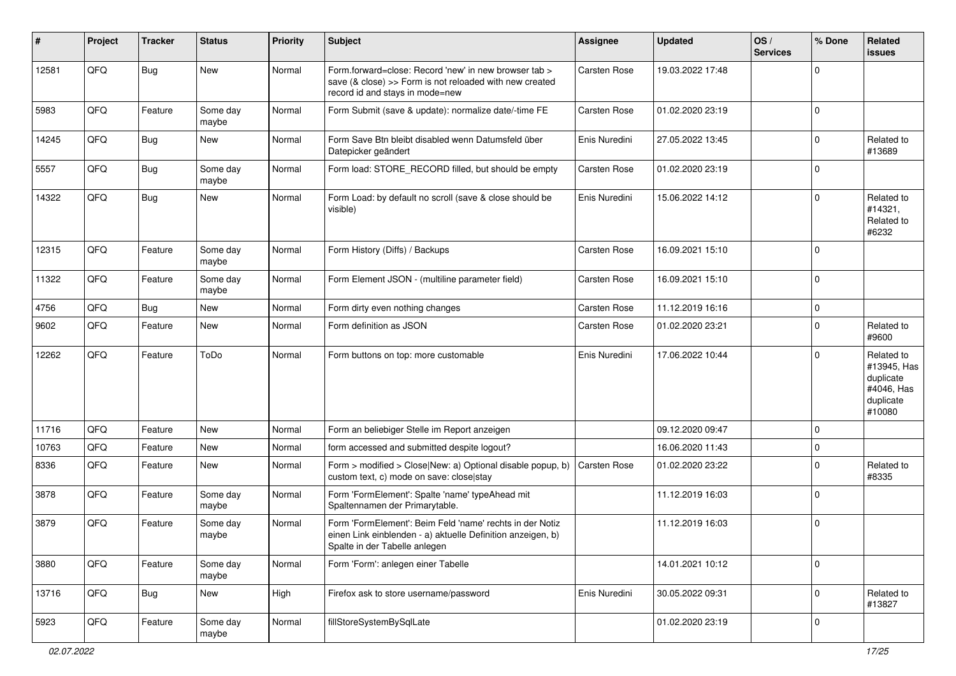| #     | Project | <b>Tracker</b> | <b>Status</b>     | <b>Priority</b> | Subject                                                                                                                                                  | Assignee            | <b>Updated</b>   | OS/<br><b>Services</b> | % Done      | Related<br>issues                                                           |
|-------|---------|----------------|-------------------|-----------------|----------------------------------------------------------------------------------------------------------------------------------------------------------|---------------------|------------------|------------------------|-------------|-----------------------------------------------------------------------------|
| 12581 | QFQ     | <b>Bug</b>     | New               | Normal          | Form.forward=close: Record 'new' in new browser tab ><br>save (& close) >> Form is not reloaded with new created<br>record id and stays in mode=new      | Carsten Rose        | 19.03.2022 17:48 |                        | $\Omega$    |                                                                             |
| 5983  | QFQ     | Feature        | Some day<br>maybe | Normal          | Form Submit (save & update): normalize date/-time FE                                                                                                     | Carsten Rose        | 01.02.2020 23:19 |                        | 0           |                                                                             |
| 14245 | QFQ     | Bug            | New               | Normal          | Form Save Btn bleibt disabled wenn Datumsfeld über<br>Datepicker geändert                                                                                | Enis Nuredini       | 27.05.2022 13:45 |                        | $\mathbf 0$ | Related to<br>#13689                                                        |
| 5557  | QFQ     | Bug            | Some day<br>maybe | Normal          | Form load: STORE RECORD filled, but should be empty                                                                                                      | Carsten Rose        | 01.02.2020 23:19 |                        | $\Omega$    |                                                                             |
| 14322 | QFQ     | <b>Bug</b>     | New               | Normal          | Form Load: by default no scroll (save & close should be<br>visible)                                                                                      | Enis Nuredini       | 15.06.2022 14:12 |                        | $\Omega$    | Related to<br>#14321,<br>Related to<br>#6232                                |
| 12315 | QFQ     | Feature        | Some day<br>maybe | Normal          | Form History (Diffs) / Backups                                                                                                                           | Carsten Rose        | 16.09.2021 15:10 |                        | $\Omega$    |                                                                             |
| 11322 | QFQ     | Feature        | Some day<br>maybe | Normal          | Form Element JSON - (multiline parameter field)                                                                                                          | Carsten Rose        | 16.09.2021 15:10 |                        | $\mathbf 0$ |                                                                             |
| 4756  | QFQ     | <b>Bug</b>     | New               | Normal          | Form dirty even nothing changes                                                                                                                          | <b>Carsten Rose</b> | 11.12.2019 16:16 |                        | $\mathbf 0$ |                                                                             |
| 9602  | QFQ     | Feature        | New               | Normal          | Form definition as JSON                                                                                                                                  | Carsten Rose        | 01.02.2020 23:21 |                        | $\Omega$    | Related to<br>#9600                                                         |
| 12262 | QFQ     | Feature        | ToDo              | Normal          | Form buttons on top: more customable                                                                                                                     | Enis Nuredini       | 17.06.2022 10:44 |                        | $\Omega$    | Related to<br>#13945, Has<br>duplicate<br>#4046, Has<br>duplicate<br>#10080 |
| 11716 | QFQ     | Feature        | New               | Normal          | Form an beliebiger Stelle im Report anzeigen                                                                                                             |                     | 09.12.2020 09:47 |                        | $\mathbf 0$ |                                                                             |
| 10763 | QFQ     | Feature        | New               | Normal          | form accessed and submitted despite logout?                                                                                                              |                     | 16.06.2020 11:43 |                        | $\mathbf 0$ |                                                                             |
| 8336  | QFQ     | Feature        | New               | Normal          | Form > modified > Close New: a) Optional disable popup, b)<br>custom text, c) mode on save: close stay                                                   | Carsten Rose        | 01.02.2020 23:22 |                        | $\mathbf 0$ | Related to<br>#8335                                                         |
| 3878  | QFQ     | Feature        | Some day<br>maybe | Normal          | Form 'FormElement': Spalte 'name' typeAhead mit<br>Spaltennamen der Primarytable.                                                                        |                     | 11.12.2019 16:03 |                        | $\Omega$    |                                                                             |
| 3879  | QFQ     | Feature        | Some day<br>maybe | Normal          | Form 'FormElement': Beim Feld 'name' rechts in der Notiz<br>einen Link einblenden - a) aktuelle Definition anzeigen, b)<br>Spalte in der Tabelle anlegen |                     | 11.12.2019 16:03 |                        | $\mathbf 0$ |                                                                             |
| 3880  | QFQ     | Feature        | Some day<br>maybe | Normal          | Form 'Form': anlegen einer Tabelle                                                                                                                       |                     | 14.01.2021 10:12 |                        | $\mathbf 0$ |                                                                             |
| 13716 | QFQ     | <b>Bug</b>     | New               | High            | Firefox ask to store username/password                                                                                                                   | Enis Nuredini       | 30.05.2022 09:31 |                        | $\mathbf 0$ | Related to<br>#13827                                                        |
| 5923  | QFQ     | Feature        | Some day<br>maybe | Normal          | fillStoreSystemBySqlLate                                                                                                                                 |                     | 01.02.2020 23:19 |                        | 0           |                                                                             |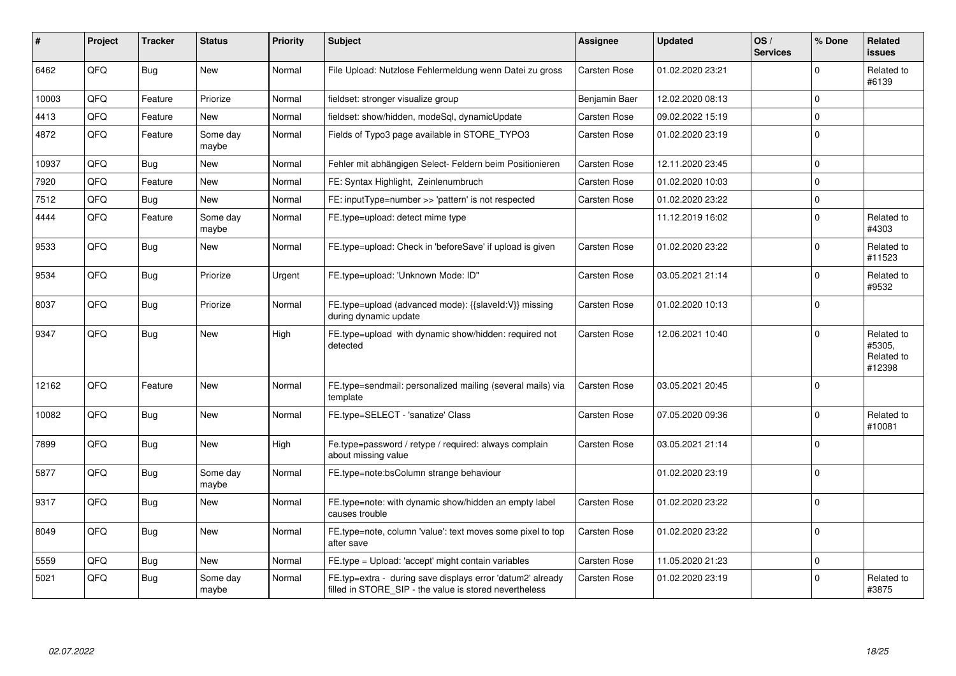| #     | <b>Project</b> | <b>Tracker</b> | <b>Status</b>     | <b>Priority</b> | <b>Subject</b>                                                                                                       | <b>Assignee</b> | <b>Updated</b>   | OS/<br><b>Services</b> | % Done      | Related<br><b>issues</b>                     |
|-------|----------------|----------------|-------------------|-----------------|----------------------------------------------------------------------------------------------------------------------|-----------------|------------------|------------------------|-------------|----------------------------------------------|
| 6462  | QFQ            | <b>Bug</b>     | <b>New</b>        | Normal          | File Upload: Nutzlose Fehlermeldung wenn Datei zu gross                                                              | Carsten Rose    | 01.02.2020 23:21 |                        | $\Omega$    | Related to<br>#6139                          |
| 10003 | QFQ            | Feature        | Priorize          | Normal          | fieldset: stronger visualize group                                                                                   | Benjamin Baer   | 12.02.2020 08:13 |                        | $\Omega$    |                                              |
| 4413  | QFQ            | Feature        | New               | Normal          | fieldset: show/hidden, modeSql, dynamicUpdate                                                                        | Carsten Rose    | 09.02.2022 15:19 |                        | $\Omega$    |                                              |
| 4872  | QFQ            | Feature        | Some day<br>maybe | Normal          | Fields of Typo3 page available in STORE TYPO3                                                                        | Carsten Rose    | 01.02.2020 23:19 |                        | $\mathbf 0$ |                                              |
| 10937 | QFQ            | <b>Bug</b>     | <b>New</b>        | Normal          | Fehler mit abhängigen Select- Feldern beim Positionieren                                                             | Carsten Rose    | 12.11.2020 23:45 |                        | $\mathbf 0$ |                                              |
| 7920  | QFQ            | Feature        | <b>New</b>        | Normal          | FE: Syntax Highlight, Zeinlenumbruch                                                                                 | Carsten Rose    | 01.02.2020 10:03 |                        | $\Omega$    |                                              |
| 7512  | QFQ            | Bug            | New               | Normal          | FE: inputType=number >> 'pattern' is not respected                                                                   | Carsten Rose    | 01.02.2020 23:22 |                        | $\mathbf 0$ |                                              |
| 4444  | QFQ            | Feature        | Some day<br>maybe | Normal          | FE.type=upload: detect mime type                                                                                     |                 | 11.12.2019 16:02 |                        | $\mathbf 0$ | Related to<br>#4303                          |
| 9533  | QFQ            | Bug            | New               | Normal          | FE.type=upload: Check in 'beforeSave' if upload is given                                                             | Carsten Rose    | 01.02.2020 23:22 |                        | $\Omega$    | Related to<br>#11523                         |
| 9534  | QFQ            | <b>Bug</b>     | Priorize          | Urgent          | FE.type=upload: 'Unknown Mode: ID"                                                                                   | Carsten Rose    | 03.05.2021 21:14 |                        | $\Omega$    | Related to<br>#9532                          |
| 8037  | QFQ            | <b>Bug</b>     | Priorize          | Normal          | FE.type=upload (advanced mode): {{slaveld:V}} missing<br>during dynamic update                                       | Carsten Rose    | 01.02.2020 10:13 |                        | $\Omega$    |                                              |
| 9347  | QFQ            | <b>Bug</b>     | <b>New</b>        | High            | FE.type=upload with dynamic show/hidden: required not<br>detected                                                    | Carsten Rose    | 12.06.2021 10:40 |                        | $\Omega$    | Related to<br>#5305.<br>Related to<br>#12398 |
| 12162 | QFQ            | Feature        | <b>New</b>        | Normal          | FE.type=sendmail: personalized mailing (several mails) via<br>template                                               | Carsten Rose    | 03.05.2021 20:45 |                        | $\Omega$    |                                              |
| 10082 | QFQ            | <b>Bug</b>     | <b>New</b>        | Normal          | FE.type=SELECT - 'sanatize' Class                                                                                    | Carsten Rose    | 07.05.2020 09:36 |                        | $\Omega$    | Related to<br>#10081                         |
| 7899  | QFQ            | Bug            | <b>New</b>        | High            | Fe.type=password / retype / required: always complain<br>about missing value                                         | Carsten Rose    | 03.05.2021 21:14 |                        | $\Omega$    |                                              |
| 5877  | QFQ            | <b>Bug</b>     | Some day<br>maybe | Normal          | FE.type=note:bsColumn strange behaviour                                                                              |                 | 01.02.2020 23:19 |                        | $\Omega$    |                                              |
| 9317  | QFQ            | <b>Bug</b>     | New               | Normal          | FE.type=note: with dynamic show/hidden an empty label<br>causes trouble                                              | Carsten Rose    | 01.02.2020 23:22 |                        | $\Omega$    |                                              |
| 8049  | QFQ            | <b>Bug</b>     | <b>New</b>        | Normal          | FE.type=note, column 'value': text moves some pixel to top<br>after save                                             | Carsten Rose    | 01.02.2020 23:22 |                        | $\mathbf 0$ |                                              |
| 5559  | QFQ            | <b>Bug</b>     | <b>New</b>        | Normal          | FE.type = Upload: 'accept' might contain variables                                                                   | Carsten Rose    | 11.05.2020 21:23 |                        | $\mathbf 0$ |                                              |
| 5021  | QFQ            | <b>Bug</b>     | Some day<br>maybe | Normal          | FE.typ=extra - during save displays error 'datum2' already<br>filled in STORE_SIP - the value is stored nevertheless | Carsten Rose    | 01.02.2020 23:19 |                        | $\Omega$    | Related to<br>#3875                          |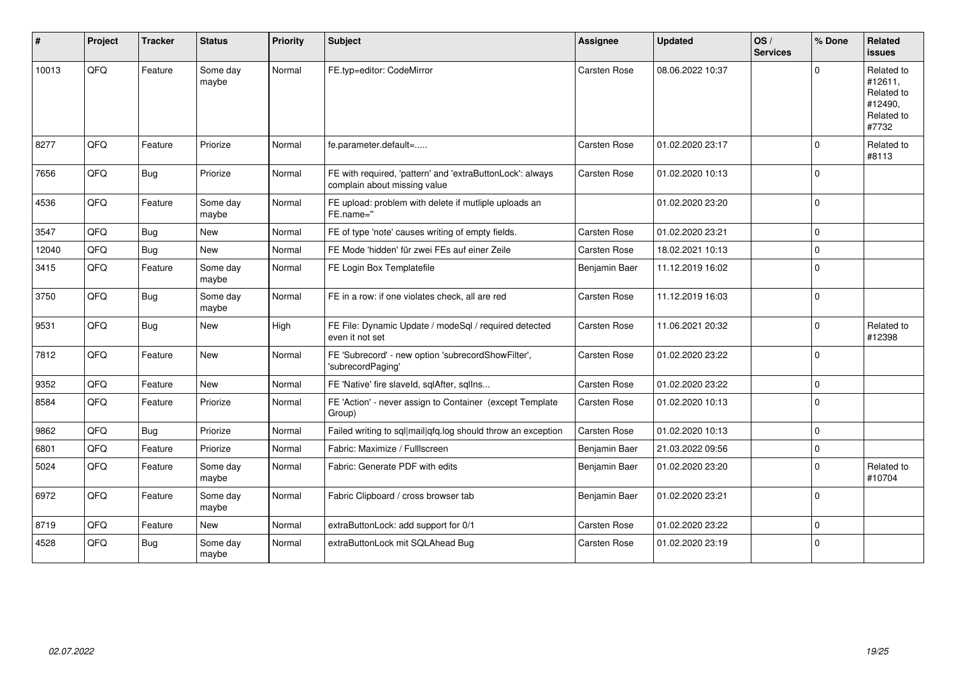| #     | Project | <b>Tracker</b> | <b>Status</b>     | <b>Priority</b> | <b>Subject</b>                                                                            | <b>Assignee</b> | <b>Updated</b>   | OS/<br><b>Services</b> | % Done      | Related<br><b>issues</b>                                              |
|-------|---------|----------------|-------------------|-----------------|-------------------------------------------------------------------------------------------|-----------------|------------------|------------------------|-------------|-----------------------------------------------------------------------|
| 10013 | QFQ     | Feature        | Some day<br>maybe | Normal          | FE.typ=editor: CodeMirror                                                                 | Carsten Rose    | 08.06.2022 10:37 |                        | $\Omega$    | Related to<br>#12611,<br>Related to<br>#12490.<br>Related to<br>#7732 |
| 8277  | QFQ     | Feature        | Priorize          | Normal          | fe.parameter.default=                                                                     | Carsten Rose    | 01.02.2020 23:17 |                        | $\Omega$    | Related to<br>#8113                                                   |
| 7656  | QFQ     | <b>Bug</b>     | Priorize          | Normal          | FE with required, 'pattern' and 'extraButtonLock': always<br>complain about missing value | Carsten Rose    | 01.02.2020 10:13 |                        | $\Omega$    |                                                                       |
| 4536  | QFQ     | Feature        | Some day<br>maybe | Normal          | FE upload: problem with delete if mutliple uploads an<br>FE.name="                        |                 | 01.02.2020 23:20 |                        | $\mathbf 0$ |                                                                       |
| 3547  | QFQ     | <b>Bug</b>     | New               | Normal          | FE of type 'note' causes writing of empty fields.                                         | Carsten Rose    | 01.02.2020 23:21 |                        | $\Omega$    |                                                                       |
| 12040 | QFQ     | <b>Bug</b>     | <b>New</b>        | Normal          | FE Mode 'hidden' für zwei FEs auf einer Zeile                                             | Carsten Rose    | 18.02.2021 10:13 |                        | $\Omega$    |                                                                       |
| 3415  | QFQ     | Feature        | Some day<br>maybe | Normal          | FE Login Box Templatefile                                                                 | Benjamin Baer   | 11.12.2019 16:02 |                        | $\Omega$    |                                                                       |
| 3750  | QFQ     | <b>Bug</b>     | Some day<br>maybe | Normal          | FE in a row: if one violates check, all are red                                           | Carsten Rose    | 11.12.2019 16:03 |                        | $\mathbf 0$ |                                                                       |
| 9531  | QFQ     | <b>Bug</b>     | New               | High            | FE File: Dynamic Update / modeSql / required detected<br>even it not set                  | Carsten Rose    | 11.06.2021 20:32 |                        | $\mathbf 0$ | Related to<br>#12398                                                  |
| 7812  | QFQ     | Feature        | New               | Normal          | FE 'Subrecord' - new option 'subrecordShowFilter',<br>'subrecordPaging'                   | Carsten Rose    | 01.02.2020 23:22 |                        | $\Omega$    |                                                                       |
| 9352  | QFQ     | Feature        | <b>New</b>        | Normal          | FE 'Native' fire slaveld, sqlAfter, sqlIns                                                | Carsten Rose    | 01.02.2020 23:22 |                        | $\mathbf 0$ |                                                                       |
| 8584  | QFQ     | Feature        | Priorize          | Normal          | FE 'Action' - never assign to Container (except Template<br>Group)                        | Carsten Rose    | 01.02.2020 10:13 |                        | $\Omega$    |                                                                       |
| 9862  | QFQ     | Bug            | Priorize          | Normal          | Failed writing to sql mail qfq.log should throw an exception                              | Carsten Rose    | 01.02.2020 10:13 |                        | $\Omega$    |                                                                       |
| 6801  | QFQ     | Feature        | Priorize          | Normal          | Fabric: Maximize / FullIscreen                                                            | Benjamin Baer   | 21.03.2022 09:56 |                        | $\mathbf 0$ |                                                                       |
| 5024  | QFQ     | Feature        | Some day<br>maybe | Normal          | Fabric: Generate PDF with edits                                                           | Benjamin Baer   | 01.02.2020 23:20 |                        | $\Omega$    | Related to<br>#10704                                                  |
| 6972  | QFQ     | Feature        | Some day<br>maybe | Normal          | Fabric Clipboard / cross browser tab                                                      | Benjamin Baer   | 01.02.2020 23:21 |                        | $\Omega$    |                                                                       |
| 8719  | QFQ     | Feature        | <b>New</b>        | Normal          | extraButtonLock: add support for 0/1                                                      | Carsten Rose    | 01.02.2020 23:22 |                        | $\mathbf 0$ |                                                                       |
| 4528  | QFQ     | <b>Bug</b>     | Some day<br>maybe | Normal          | extraButtonLock mit SQLAhead Bug                                                          | Carsten Rose    | 01.02.2020 23:19 |                        | $\mathbf 0$ |                                                                       |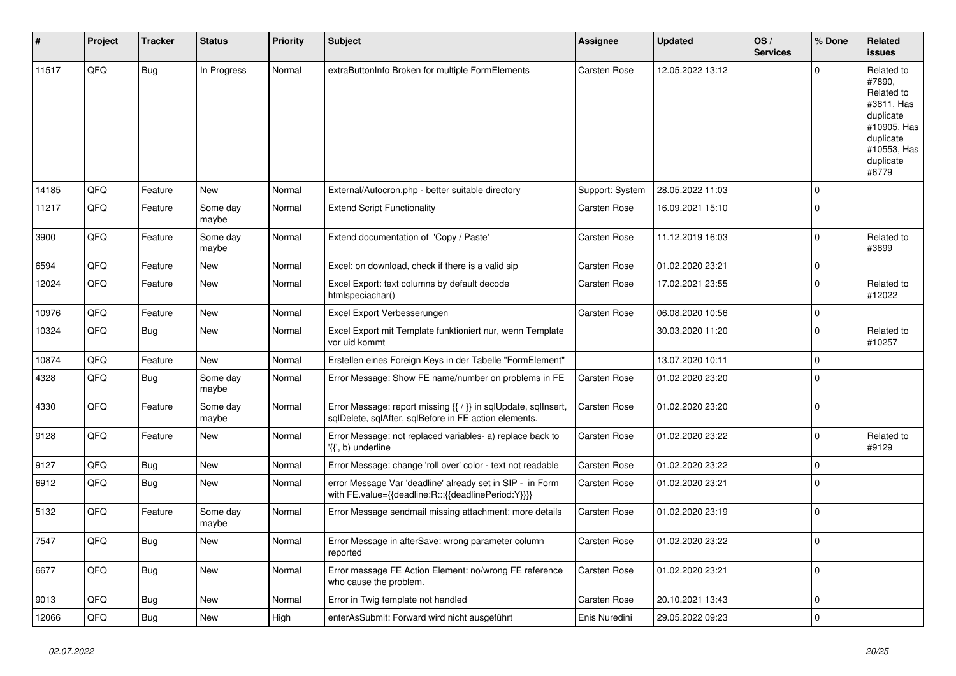| #     | Project | <b>Tracker</b> | <b>Status</b>     | <b>Priority</b> | <b>Subject</b>                                                                                                          | Assignee        | <b>Updated</b>   | OS/<br><b>Services</b> | % Done      | <b>Related</b><br><b>issues</b>                                                                                                |
|-------|---------|----------------|-------------------|-----------------|-------------------------------------------------------------------------------------------------------------------------|-----------------|------------------|------------------------|-------------|--------------------------------------------------------------------------------------------------------------------------------|
| 11517 | QFQ     | <b>Bug</b>     | In Progress       | Normal          | extraButtonInfo Broken for multiple FormElements                                                                        | Carsten Rose    | 12.05.2022 13:12 |                        | $\Omega$    | Related to<br>#7890,<br>Related to<br>#3811, Has<br>duplicate<br>#10905, Has<br>duplicate<br>#10553, Has<br>duplicate<br>#6779 |
| 14185 | QFQ     | Feature        | <b>New</b>        | Normal          | External/Autocron.php - better suitable directory                                                                       | Support: System | 28.05.2022 11:03 |                        | $\mathbf 0$ |                                                                                                                                |
| 11217 | QFQ     | Feature        | Some day<br>maybe | Normal          | <b>Extend Script Functionality</b>                                                                                      | Carsten Rose    | 16.09.2021 15:10 |                        | $\Omega$    |                                                                                                                                |
| 3900  | QFQ     | Feature        | Some day<br>maybe | Normal          | Extend documentation of 'Copy / Paste'                                                                                  | Carsten Rose    | 11.12.2019 16:03 |                        | $\Omega$    | Related to<br>#3899                                                                                                            |
| 6594  | QFQ     | Feature        | <b>New</b>        | Normal          | Excel: on download, check if there is a valid sip                                                                       | Carsten Rose    | 01.02.2020 23:21 |                        | $\mathbf 0$ |                                                                                                                                |
| 12024 | QFQ     | Feature        | New               | Normal          | Excel Export: text columns by default decode<br>htmlspeciachar()                                                        | Carsten Rose    | 17.02.2021 23:55 |                        | $\Omega$    | Related to<br>#12022                                                                                                           |
| 10976 | QFQ     | Feature        | <b>New</b>        | Normal          | Excel Export Verbesserungen                                                                                             | Carsten Rose    | 06.08.2020 10:56 |                        | $\mathbf 0$ |                                                                                                                                |
| 10324 | QFQ     | <b>Bug</b>     | <b>New</b>        | Normal          | Excel Export mit Template funktioniert nur, wenn Template<br>vor uid kommt                                              |                 | 30.03.2020 11:20 |                        | $\Omega$    | Related to<br>#10257                                                                                                           |
| 10874 | QFQ     | Feature        | New               | Normal          | Erstellen eines Foreign Keys in der Tabelle "FormElement"                                                               |                 | 13.07.2020 10:11 |                        | $\mathbf 0$ |                                                                                                                                |
| 4328  | QFQ     | Bug            | Some day<br>maybe | Normal          | Error Message: Show FE name/number on problems in FE                                                                    | Carsten Rose    | 01.02.2020 23:20 |                        | $\Omega$    |                                                                                                                                |
| 4330  | QFQ     | Feature        | Some day<br>maybe | Normal          | Error Message: report missing {{ / }} in sqlUpdate, sqlInsert,<br>sglDelete, sglAfter, sglBefore in FE action elements. | Carsten Rose    | 01.02.2020 23:20 |                        | $\Omega$    |                                                                                                                                |
| 9128  | QFQ     | Feature        | <b>New</b>        | Normal          | Error Message: not replaced variables- a) replace back to<br>'{{', b) underline                                         | Carsten Rose    | 01.02.2020 23:22 |                        | $\Omega$    | Related to<br>#9129                                                                                                            |
| 9127  | QFQ     | Bug            | New               | Normal          | Error Message: change 'roll over' color - text not readable                                                             | Carsten Rose    | 01.02.2020 23:22 |                        | $\mathbf 0$ |                                                                                                                                |
| 6912  | QFQ     | Bug            | <b>New</b>        | Normal          | error Message Var 'deadline' already set in SIP - in Form<br>with FE.value={{deadline:R:::{{deadlinePeriod:Y}}}}        | Carsten Rose    | 01.02.2020 23:21 |                        | $\Omega$    |                                                                                                                                |
| 5132  | QFQ     | Feature        | Some day<br>maybe | Normal          | Error Message sendmail missing attachment: more details                                                                 | Carsten Rose    | 01.02.2020 23:19 |                        | $\Omega$    |                                                                                                                                |
| 7547  | QFQ     | Bug            | <b>New</b>        | Normal          | Error Message in afterSave: wrong parameter column<br>reported                                                          | Carsten Rose    | 01.02.2020 23:22 |                        | $\Omega$    |                                                                                                                                |
| 6677  | QFQ     | <b>Bug</b>     | <b>New</b>        | Normal          | Error message FE Action Element: no/wrong FE reference<br>who cause the problem.                                        | Carsten Rose    | 01.02.2020 23:21 |                        | $\mathbf 0$ |                                                                                                                                |
| 9013  | QFQ     | Bug            | <b>New</b>        | Normal          | Error in Twig template not handled                                                                                      | Carsten Rose    | 20.10.2021 13:43 |                        | $\mathbf 0$ |                                                                                                                                |
| 12066 | QFQ     | Bug            | New               | High            | enterAsSubmit: Forward wird nicht ausgeführt                                                                            | Enis Nuredini   | 29.05.2022 09:23 |                        | $\mathbf 0$ |                                                                                                                                |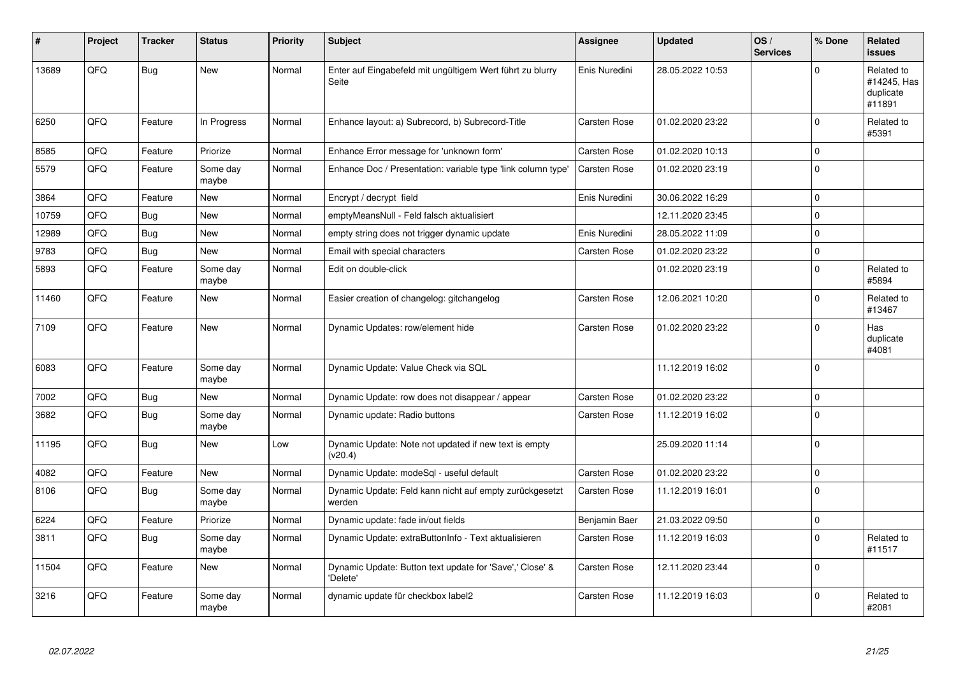| ∦     | Project | <b>Tracker</b> | <b>Status</b>     | <b>Priority</b> | <b>Subject</b>                                                       | Assignee      | <b>Updated</b>   | OS/<br><b>Services</b> | % Done      | Related<br><b>issues</b>                         |
|-------|---------|----------------|-------------------|-----------------|----------------------------------------------------------------------|---------------|------------------|------------------------|-------------|--------------------------------------------------|
| 13689 | QFQ     | Bug            | <b>New</b>        | Normal          | Enter auf Eingabefeld mit ungültigem Wert führt zu blurry<br>Seite   | Enis Nuredini | 28.05.2022 10:53 |                        | $\Omega$    | Related to<br>#14245, Has<br>duplicate<br>#11891 |
| 6250  | QFQ     | Feature        | In Progress       | Normal          | Enhance layout: a) Subrecord, b) Subrecord-Title                     | Carsten Rose  | 01.02.2020 23:22 |                        | $\Omega$    | Related to<br>#5391                              |
| 8585  | QFQ     | Feature        | Priorize          | Normal          | Enhance Error message for 'unknown form'                             | Carsten Rose  | 01.02.2020 10:13 |                        | $\Omega$    |                                                  |
| 5579  | QFQ     | Feature        | Some day<br>maybe | Normal          | Enhance Doc / Presentation: variable type 'link column type'         | Carsten Rose  | 01.02.2020 23:19 |                        | $\mathbf 0$ |                                                  |
| 3864  | QFQ     | Feature        | New               | Normal          | Encrypt / decrypt field                                              | Enis Nuredini | 30.06.2022 16:29 |                        | $\mathbf 0$ |                                                  |
| 10759 | QFQ     | <b>Bug</b>     | <b>New</b>        | Normal          | emptyMeansNull - Feld falsch aktualisiert                            |               | 12.11.2020 23:45 |                        | $\mathbf 0$ |                                                  |
| 12989 | QFQ     | Bug            | <b>New</b>        | Normal          | empty string does not trigger dynamic update                         | Enis Nuredini | 28.05.2022 11:09 |                        | $\mathbf 0$ |                                                  |
| 9783  | QFQ     | Bug            | <b>New</b>        | Normal          | Email with special characters                                        | Carsten Rose  | 01.02.2020 23:22 |                        | $\mathbf 0$ |                                                  |
| 5893  | QFQ     | Feature        | Some day<br>maybe | Normal          | Edit on double-click                                                 |               | 01.02.2020 23:19 |                        | $\Omega$    | Related to<br>#5894                              |
| 11460 | QFQ     | Feature        | <b>New</b>        | Normal          | Easier creation of changelog: gitchangelog                           | Carsten Rose  | 12.06.2021 10:20 |                        | $\Omega$    | Related to<br>#13467                             |
| 7109  | QFQ     | Feature        | <b>New</b>        | Normal          | Dynamic Updates: row/element hide                                    | Carsten Rose  | 01.02.2020 23:22 |                        | $\Omega$    | Has<br>duplicate<br>#4081                        |
| 6083  | QFQ     | Feature        | Some day<br>maybe | Normal          | Dynamic Update: Value Check via SQL                                  |               | 11.12.2019 16:02 |                        | $\Omega$    |                                                  |
| 7002  | QFQ     | <b>Bug</b>     | New               | Normal          | Dynamic Update: row does not disappear / appear                      | Carsten Rose  | 01.02.2020 23:22 |                        | $\mathbf 0$ |                                                  |
| 3682  | QFQ     | Bug            | Some day<br>maybe | Normal          | Dynamic update: Radio buttons                                        | Carsten Rose  | 11.12.2019 16:02 |                        | $\Omega$    |                                                  |
| 11195 | QFQ     | Bug            | <b>New</b>        | Low             | Dynamic Update: Note not updated if new text is empty<br>(v20.4)     |               | 25.09.2020 11:14 |                        | $\Omega$    |                                                  |
| 4082  | QFQ     | Feature        | <b>New</b>        | Normal          | Dynamic Update: modeSql - useful default                             | Carsten Rose  | 01.02.2020 23:22 |                        | $\mathbf 0$ |                                                  |
| 8106  | QFQ     | Bug            | Some day<br>maybe | Normal          | Dynamic Update: Feld kann nicht auf empty zurückgesetzt<br>werden    | Carsten Rose  | 11.12.2019 16:01 |                        | $\Omega$    |                                                  |
| 6224  | QFQ     | Feature        | Priorize          | Normal          | Dynamic update: fade in/out fields                                   | Benjamin Baer | 21.03.2022 09:50 |                        | $\mathbf 0$ |                                                  |
| 3811  | QFQ     | <b>Bug</b>     | Some day<br>maybe | Normal          | Dynamic Update: extraButtonInfo - Text aktualisieren                 | Carsten Rose  | 11.12.2019 16:03 |                        | $\Omega$    | Related to<br>#11517                             |
| 11504 | QFQ     | Feature        | <b>New</b>        | Normal          | Dynamic Update: Button text update for 'Save',' Close' &<br>'Delete' | Carsten Rose  | 12.11.2020 23:44 |                        | $\mathbf 0$ |                                                  |
| 3216  | QFQ     | Feature        | Some day<br>maybe | Normal          | dynamic update für checkbox label2                                   | Carsten Rose  | 11.12.2019 16:03 |                        | $\Omega$    | Related to<br>#2081                              |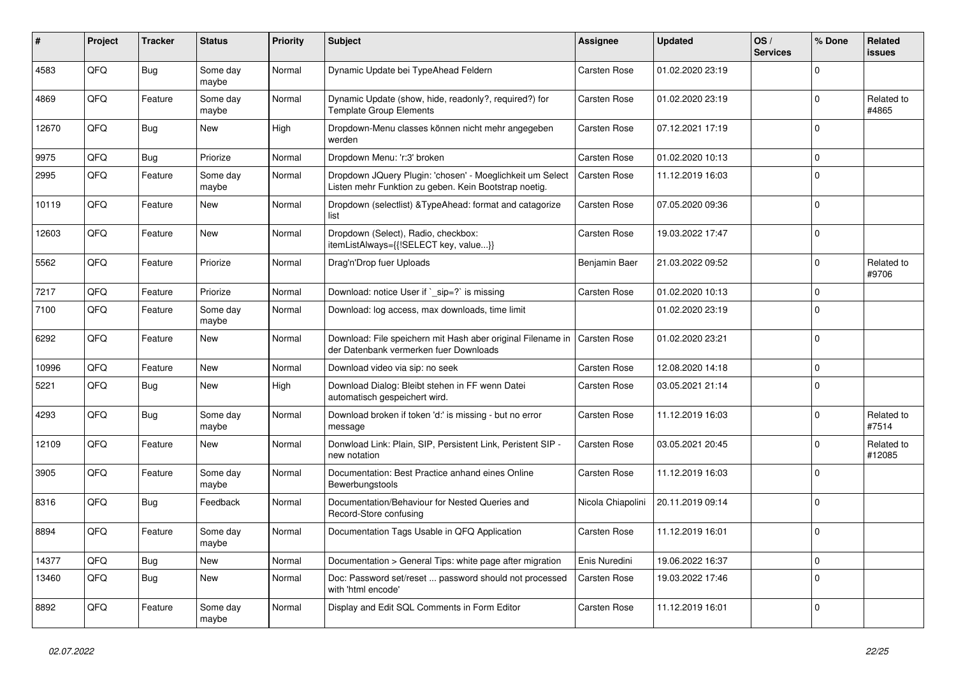| ∦     | Project | <b>Tracker</b> | <b>Status</b>     | <b>Priority</b> | <b>Subject</b>                                                                                                     | <b>Assignee</b>     | <b>Updated</b>   | OS/<br><b>Services</b> | % Done      | Related<br>issues    |
|-------|---------|----------------|-------------------|-----------------|--------------------------------------------------------------------------------------------------------------------|---------------------|------------------|------------------------|-------------|----------------------|
| 4583  | QFQ     | Bug            | Some day<br>maybe | Normal          | Dynamic Update bei TypeAhead Feldern                                                                               | Carsten Rose        | 01.02.2020 23:19 |                        | $\Omega$    |                      |
| 4869  | QFQ     | Feature        | Some day<br>maybe | Normal          | Dynamic Update (show, hide, readonly?, required?) for<br><b>Template Group Elements</b>                            | Carsten Rose        | 01.02.2020 23:19 |                        | $\mathbf 0$ | Related to<br>#4865  |
| 12670 | QFQ     | Bug            | New               | High            | Dropdown-Menu classes können nicht mehr angegeben<br>werden                                                        | Carsten Rose        | 07.12.2021 17:19 |                        | $\Omega$    |                      |
| 9975  | QFQ     | <b>Bug</b>     | Priorize          | Normal          | Dropdown Menu: 'r:3' broken                                                                                        | Carsten Rose        | 01.02.2020 10:13 |                        | $\Omega$    |                      |
| 2995  | QFQ     | Feature        | Some day<br>maybe | Normal          | Dropdown JQuery Plugin: 'chosen' - Moeglichkeit um Select<br>Listen mehr Funktion zu geben. Kein Bootstrap noetig. | Carsten Rose        | 11.12.2019 16:03 |                        | $\Omega$    |                      |
| 10119 | QFQ     | Feature        | <b>New</b>        | Normal          | Dropdown (selectlist) & TypeAhead: format and catagorize<br>list                                                   | Carsten Rose        | 07.05.2020 09:36 |                        | $\Omega$    |                      |
| 12603 | QFQ     | Feature        | New               | Normal          | Dropdown (Select), Radio, checkbox:<br>itemListAlways={{!SELECT key, value}}                                       | Carsten Rose        | 19.03.2022 17:47 |                        | $\Omega$    |                      |
| 5562  | QFQ     | Feature        | Priorize          | Normal          | Drag'n'Drop fuer Uploads                                                                                           | Benjamin Baer       | 21.03.2022 09:52 |                        | $\Omega$    | Related to<br>#9706  |
| 7217  | QFQ     | Feature        | Priorize          | Normal          | Download: notice User if `_sip=?` is missing                                                                       | Carsten Rose        | 01.02.2020 10:13 |                        | $\Omega$    |                      |
| 7100  | QFQ     | Feature        | Some day<br>maybe | Normal          | Download: log access, max downloads, time limit                                                                    |                     | 01.02.2020 23:19 |                        | $\Omega$    |                      |
| 6292  | QFQ     | Feature        | <b>New</b>        | Normal          | Download: File speichern mit Hash aber original Filename in<br>der Datenbank vermerken fuer Downloads              | <b>Carsten Rose</b> | 01.02.2020 23:21 |                        | $\Omega$    |                      |
| 10996 | QFQ     | Feature        | <b>New</b>        | Normal          | Download video via sip: no seek                                                                                    | Carsten Rose        | 12.08.2020 14:18 |                        | $\mathbf 0$ |                      |
| 5221  | QFQ     | Bug            | <b>New</b>        | High            | Download Dialog: Bleibt stehen in FF wenn Datei<br>automatisch gespeichert wird.                                   | Carsten Rose        | 03.05.2021 21:14 |                        | $\Omega$    |                      |
| 4293  | QFQ     | Bug            | Some day<br>maybe | Normal          | Download broken if token 'd:' is missing - but no error<br>message                                                 | Carsten Rose        | 11.12.2019 16:03 |                        | $\Omega$    | Related to<br>#7514  |
| 12109 | QFQ     | Feature        | <b>New</b>        | Normal          | Donwload Link: Plain, SIP, Persistent Link, Peristent SIP -<br>new notation                                        | Carsten Rose        | 03.05.2021 20:45 |                        | $\Omega$    | Related to<br>#12085 |
| 3905  | QFQ     | Feature        | Some day<br>maybe | Normal          | Documentation: Best Practice anhand eines Online<br>Bewerbungstools                                                | Carsten Rose        | 11.12.2019 16:03 |                        | $\Omega$    |                      |
| 8316  | QFQ     | Bug            | Feedback          | Normal          | Documentation/Behaviour for Nested Queries and<br>Record-Store confusing                                           | Nicola Chiapolini   | 20.11.2019 09:14 |                        | $\Omega$    |                      |
| 8894  | QFQ     | Feature        | Some day<br>maybe | Normal          | Documentation Tags Usable in QFQ Application                                                                       | Carsten Rose        | 11.12.2019 16:01 |                        | $\Omega$    |                      |
| 14377 | QFQ     | <b>Bug</b>     | New               | Normal          | Documentation > General Tips: white page after migration                                                           | Enis Nuredini       | 19.06.2022 16:37 |                        | $\mathbf 0$ |                      |
| 13460 | QFQ     | Bug            | <b>New</b>        | Normal          | Doc: Password set/reset  password should not processed<br>with 'html encode'                                       | Carsten Rose        | 19.03.2022 17:46 |                        | $\Omega$    |                      |
| 8892  | QFQ     | Feature        | Some day<br>maybe | Normal          | Display and Edit SQL Comments in Form Editor                                                                       | Carsten Rose        | 11.12.2019 16:01 |                        | $\Omega$    |                      |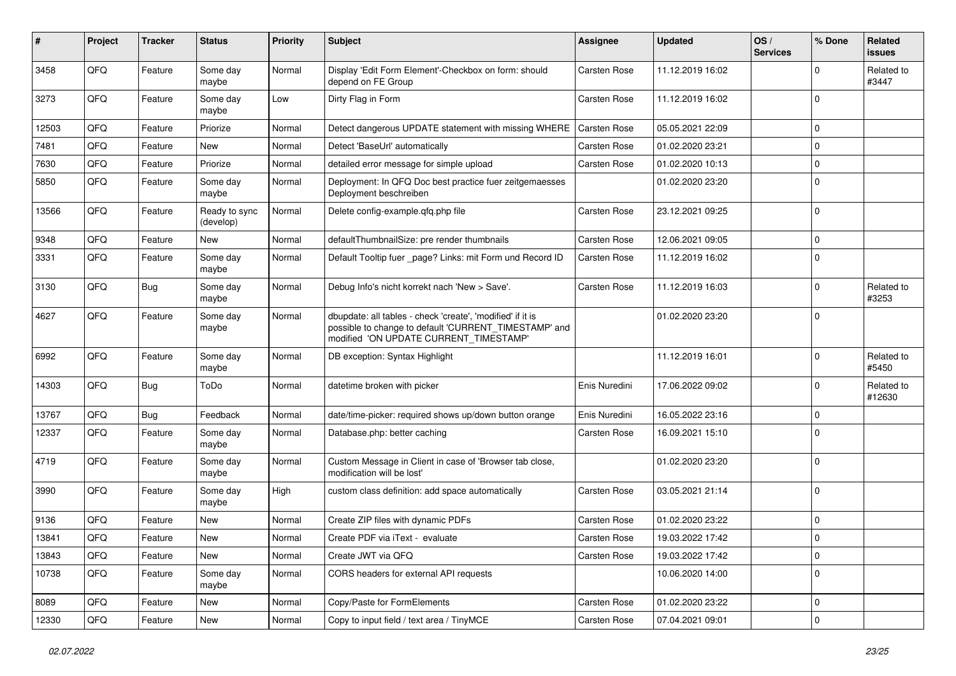| #     | Project | <b>Tracker</b> | <b>Status</b>              | <b>Priority</b> | <b>Subject</b>                                                                                                                                                | Assignee            | <b>Updated</b>   | OS/<br><b>Services</b> | % Done       | Related<br>issues    |
|-------|---------|----------------|----------------------------|-----------------|---------------------------------------------------------------------------------------------------------------------------------------------------------------|---------------------|------------------|------------------------|--------------|----------------------|
| 3458  | QFQ     | Feature        | Some day<br>maybe          | Normal          | Display 'Edit Form Element'-Checkbox on form: should<br>depend on FE Group                                                                                    | Carsten Rose        | 11.12.2019 16:02 |                        | <sup>0</sup> | Related to<br>#3447  |
| 3273  | QFQ     | Feature        | Some day<br>maybe          | Low             | Dirty Flag in Form                                                                                                                                            | Carsten Rose        | 11.12.2019 16:02 |                        | $\Omega$     |                      |
| 12503 | QFQ     | Feature        | Priorize                   | Normal          | Detect dangerous UPDATE statement with missing WHERE                                                                                                          | Carsten Rose        | 05.05.2021 22:09 |                        | 0            |                      |
| 7481  | QFQ     | Feature        | <b>New</b>                 | Normal          | Detect 'BaseUrl' automatically                                                                                                                                | Carsten Rose        | 01.02.2020 23:21 |                        | $\Omega$     |                      |
| 7630  | QFQ     | Feature        | Priorize                   | Normal          | detailed error message for simple upload                                                                                                                      | Carsten Rose        | 01.02.2020 10:13 |                        | $\mathbf 0$  |                      |
| 5850  | QFQ     | Feature        | Some day<br>maybe          | Normal          | Deployment: In QFQ Doc best practice fuer zeitgemaesses<br>Deployment beschreiben                                                                             |                     | 01.02.2020 23:20 |                        | $\Omega$     |                      |
| 13566 | QFQ     | Feature        | Ready to sync<br>(develop) | Normal          | Delete config-example.qfq.php file                                                                                                                            | Carsten Rose        | 23.12.2021 09:25 |                        | $\Omega$     |                      |
| 9348  | QFQ     | Feature        | <b>New</b>                 | Normal          | defaultThumbnailSize: pre render thumbnails                                                                                                                   | Carsten Rose        | 12.06.2021 09:05 |                        | 0            |                      |
| 3331  | QFQ     | Feature        | Some day<br>maybe          | Normal          | Default Tooltip fuer _page? Links: mit Form und Record ID                                                                                                     | Carsten Rose        | 11.12.2019 16:02 |                        | $\Omega$     |                      |
| 3130  | QFQ     | Bug            | Some day<br>maybe          | Normal          | Debug Info's nicht korrekt nach 'New > Save'.                                                                                                                 | Carsten Rose        | 11.12.2019 16:03 |                        | $\Omega$     | Related to<br>#3253  |
| 4627  | QFQ     | Feature        | Some day<br>maybe          | Normal          | dbupdate: all tables - check 'create', 'modified' if it is<br>possible to change to default 'CURRENT TIMESTAMP' and<br>modified 'ON UPDATE CURRENT_TIMESTAMP' |                     | 01.02.2020 23:20 |                        | $\Omega$     |                      |
| 6992  | QFQ     | Feature        | Some day<br>maybe          | Normal          | DB exception: Syntax Highlight                                                                                                                                |                     | 11.12.2019 16:01 |                        | $\Omega$     | Related to<br>#5450  |
| 14303 | QFQ     | <b>Bug</b>     | ToDo                       | Normal          | datetime broken with picker                                                                                                                                   | Enis Nuredini       | 17.06.2022 09:02 |                        | 0            | Related to<br>#12630 |
| 13767 | QFQ     | Bug            | Feedback                   | Normal          | date/time-picker: required shows up/down button orange                                                                                                        | Enis Nuredini       | 16.05.2022 23:16 |                        | $\Omega$     |                      |
| 12337 | QFQ     | Feature        | Some day<br>maybe          | Normal          | Database.php: better caching                                                                                                                                  | Carsten Rose        | 16.09.2021 15:10 |                        | $\Omega$     |                      |
| 4719  | QFQ     | Feature        | Some day<br>maybe          | Normal          | Custom Message in Client in case of 'Browser tab close,<br>modification will be lost'                                                                         |                     | 01.02.2020 23:20 |                        | $\Omega$     |                      |
| 3990  | QFQ     | Feature        | Some day<br>maybe          | High            | custom class definition: add space automatically                                                                                                              | Carsten Rose        | 03.05.2021 21:14 |                        | $\mathbf 0$  |                      |
| 9136  | QFQ     | Feature        | <b>New</b>                 | Normal          | Create ZIP files with dynamic PDFs                                                                                                                            | Carsten Rose        | 01.02.2020 23:22 |                        | 0            |                      |
| 13841 | QFQ     | Feature        | New                        | Normal          | Create PDF via iText - evaluate                                                                                                                               | <b>Carsten Rose</b> | 19.03.2022 17:42 |                        | $\Omega$     |                      |
| 13843 | QFQ     | Feature        | New                        | Normal          | Create JWT via QFQ                                                                                                                                            | Carsten Rose        | 19.03.2022 17:42 |                        | $\mathbf 0$  |                      |
| 10738 | QFQ     | Feature        | Some day<br>maybe          | Normal          | CORS headers for external API requests                                                                                                                        |                     | 10.06.2020 14:00 |                        | $\Omega$     |                      |
| 8089  | QFQ     | Feature        | New                        | Normal          | Copy/Paste for FormElements                                                                                                                                   | Carsten Rose        | 01.02.2020 23:22 |                        | 0            |                      |
| 12330 | QFQ     | Feature        | New                        | Normal          | Copy to input field / text area / TinyMCE                                                                                                                     | Carsten Rose        | 07.04.2021 09:01 |                        | 0            |                      |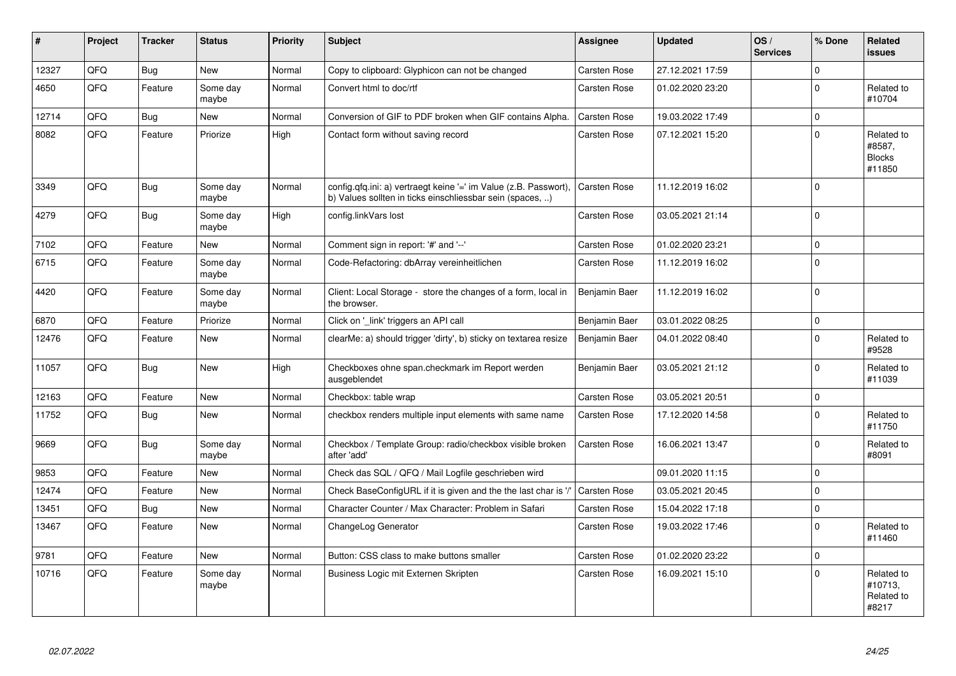| #     | Project | <b>Tracker</b> | <b>Status</b>     | <b>Priority</b> | <b>Subject</b>                                                                                                                | Assignee            | <b>Updated</b>   | OS/<br><b>Services</b> | % Done      | Related<br><b>issues</b>                        |
|-------|---------|----------------|-------------------|-----------------|-------------------------------------------------------------------------------------------------------------------------------|---------------------|------------------|------------------------|-------------|-------------------------------------------------|
| 12327 | QFQ     | <b>Bug</b>     | <b>New</b>        | Normal          | Copy to clipboard: Glyphicon can not be changed                                                                               | Carsten Rose        | 27.12.2021 17:59 |                        | $\Omega$    |                                                 |
| 4650  | QFQ     | Feature        | Some day<br>maybe | Normal          | Convert html to doc/rtf                                                                                                       | Carsten Rose        | 01.02.2020 23:20 |                        | $\Omega$    | Related to<br>#10704                            |
| 12714 | QFQ     | Bug            | New               | Normal          | Conversion of GIF to PDF broken when GIF contains Alpha.                                                                      | Carsten Rose        | 19.03.2022 17:49 |                        | $\mathbf 0$ |                                                 |
| 8082  | QFQ     | Feature        | Priorize          | High            | Contact form without saving record                                                                                            | Carsten Rose        | 07.12.2021 15:20 |                        | $\Omega$    | Related to<br>#8587,<br><b>Blocks</b><br>#11850 |
| 3349  | QFQ     | Bug            | Some day<br>maybe | Normal          | config.qfq.ini: a) vertraegt keine '=' im Value (z.B. Passwort),<br>b) Values sollten in ticks einschliessbar sein (spaces, ) | <b>Carsten Rose</b> | 11.12.2019 16:02 |                        | $\mathbf 0$ |                                                 |
| 4279  | QFQ     | Bug            | Some day<br>maybe | High            | config.linkVars lost                                                                                                          | Carsten Rose        | 03.05.2021 21:14 |                        | $\mathbf 0$ |                                                 |
| 7102  | QFQ     | Feature        | New               | Normal          | Comment sign in report: '#' and '--'                                                                                          | Carsten Rose        | 01.02.2020 23:21 |                        | $\mathbf 0$ |                                                 |
| 6715  | QFQ     | Feature        | Some day<br>maybe | Normal          | Code-Refactoring: dbArray vereinheitlichen                                                                                    | Carsten Rose        | 11.12.2019 16:02 |                        | $\mathbf 0$ |                                                 |
| 4420  | QFQ     | Feature        | Some day<br>maybe | Normal          | Client: Local Storage - store the changes of a form, local in<br>the browser.                                                 | Benjamin Baer       | 11.12.2019 16:02 |                        | $\mathbf 0$ |                                                 |
| 6870  | QFQ     | Feature        | Priorize          | Normal          | Click on '_link' triggers an API call                                                                                         | Benjamin Baer       | 03.01.2022 08:25 |                        | $\mathbf 0$ |                                                 |
| 12476 | QFQ     | Feature        | <b>New</b>        | Normal          | clearMe: a) should trigger 'dirty', b) sticky on textarea resize                                                              | Benjamin Baer       | 04.01.2022 08:40 |                        | $\mathbf 0$ | Related to<br>#9528                             |
| 11057 | QFQ     | Bug            | <b>New</b>        | High            | Checkboxes ohne span.checkmark im Report werden<br>ausgeblendet                                                               | Benjamin Baer       | 03.05.2021 21:12 |                        | $\mathbf 0$ | Related to<br>#11039                            |
| 12163 | QFQ     | Feature        | New               | Normal          | Checkbox: table wrap                                                                                                          | Carsten Rose        | 03.05.2021 20:51 |                        | $\mathbf 0$ |                                                 |
| 11752 | QFQ     | <b>Bug</b>     | <b>New</b>        | Normal          | checkbox renders multiple input elements with same name                                                                       | Carsten Rose        | 17.12.2020 14:58 |                        | $\Omega$    | Related to<br>#11750                            |
| 9669  | QFQ     | Bug            | Some day<br>maybe | Normal          | Checkbox / Template Group: radio/checkbox visible broken<br>after 'add'                                                       | Carsten Rose        | 16.06.2021 13:47 |                        | $\mathbf 0$ | Related to<br>#8091                             |
| 9853  | QFQ     | Feature        | New               | Normal          | Check das SQL / QFQ / Mail Logfile geschrieben wird                                                                           |                     | 09.01.2020 11:15 |                        | $\mathbf 0$ |                                                 |
| 12474 | QFQ     | Feature        | <b>New</b>        | Normal          | Check BaseConfigURL if it is given and the the last char is '/                                                                | Carsten Rose        | 03.05.2021 20:45 |                        | $\mathbf 0$ |                                                 |
| 13451 | QFQ     | <b>Bug</b>     | <b>New</b>        | Normal          | Character Counter / Max Character: Problem in Safari                                                                          | Carsten Rose        | 15.04.2022 17:18 |                        | $\pmb{0}$   |                                                 |
| 13467 | QFQ     | Feature        | <b>New</b>        | Normal          | ChangeLog Generator                                                                                                           | Carsten Rose        | 19.03.2022 17:46 |                        | $\mathbf 0$ | Related to<br>#11460                            |
| 9781  | QFQ     | Feature        | New               | Normal          | Button: CSS class to make buttons smaller                                                                                     | Carsten Rose        | 01.02.2020 23:22 |                        | $\mathbf 0$ |                                                 |
| 10716 | QFQ     | Feature        | Some day<br>maybe | Normal          | Business Logic mit Externen Skripten                                                                                          | Carsten Rose        | 16.09.2021 15:10 |                        | $\Omega$    | Related to<br>#10713,<br>Related to<br>#8217    |